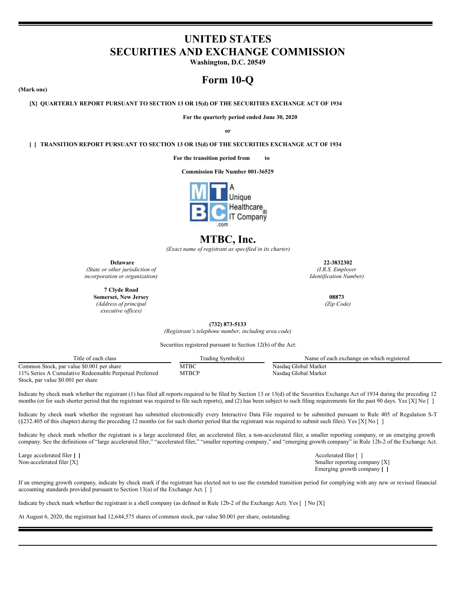# **UNITED STATES SECURITIES AND EXCHANGE COMMISSION**

**Washington, D.C. 20549**

# **Form 10-Q**

**(Mark one)**

**[X] QUARTERLY REPORT PURSUANT TO SECTION 13 OR 15(d) OF THE SECURITIES EXCHANGE ACT OF 1934**

**For the quarterly period ended June 30, 2020**

**or**

**[ ] TRANSITION REPORT PURSUANT TO SECTION 13 OR 15(d) OF THE SECURITIES EXCHANGE ACT OF 1934**

**For the transition period from to**

**Commission File Number 001-36529**



# **MTBC, Inc.**

*(Exact name of registrant as specified in its charter)*

*(State or other jurisdiction of incorporation or organization)*

> **7 Clyde Road Somerset, New Jersey 08873** *(Address of principal executive of ices)*

**Delaware 22-3832302** *(I.R.S. Employer Identification Number)*

*(Zip Code)*

**(732) 873-5133** *(Registrant's telephone number, including area code)*

Securities registered pursuant to Section 12(b) of the Act:

| Title of each class                                    | Trading Symbol(s) | Name of each exchange on which registered |
|--------------------------------------------------------|-------------------|-------------------------------------------|
| Common Stock, par value \$0.001 per share              | мтвс              | Nasdaq Global Market                      |
| 11% Series A Cumulative Redeemable Perpetual Preferred | МТВСР             | Nasdag Global Market                      |
| Stock, par value \$0.001 per share                     |                   |                                           |

Indicate by check mark whether the registrant (1) has filed all reports required to be filed by Section 13 or 15(d) of the Securities Exchange Act of 1934 during the preceding 12 months (or for such shorter period that the registrant was required to file such reports), and (2) has been subject to such filing requirements for the past 90 days. Yes [X] No []

Indicate by check mark whether the registrant has submitted electronically every Interactive Data File required to be submitted pursuant to Rule 405 of Regulation S-T (§232.405 of this chapter) during the preceding 12 months (or for such shorter period that the registrant was required to submit such files). Yes [X] No [ ]

Indicate by check mark whether the registrant is a large accelerated filer, an accelerated filer, a non-accelerated filer, a smaller reporting company, or an emerging growth company. See the definitions of "large accelerated filer," "accelerated filer," "smaller reporting company," and "emerging growth company" in Rule 12b-2 of the Exchange Act.

Large accelerated filer **[ ]** Accelerated filer [ ]

Non-accelerated filer [X] Smaller reporting company [X] Smaller reporting company [X] Emerging growth company **[ ]**

If an emerging growth company, indicate by check mark if the registrant has elected not to use the extended transition period for complying with any new or revised financial accounting standards provided pursuant to Section 13(a) of the Exchange Act. [ ]

Indicate by check mark whether the registrant is a shell company (as defined in Rule 12b-2 of the Exchange Act). Yes [ ] No [X]

At August 6, 2020, the registrant had 12,644,575 shares of common stock, par value \$0.001 per share, outstanding.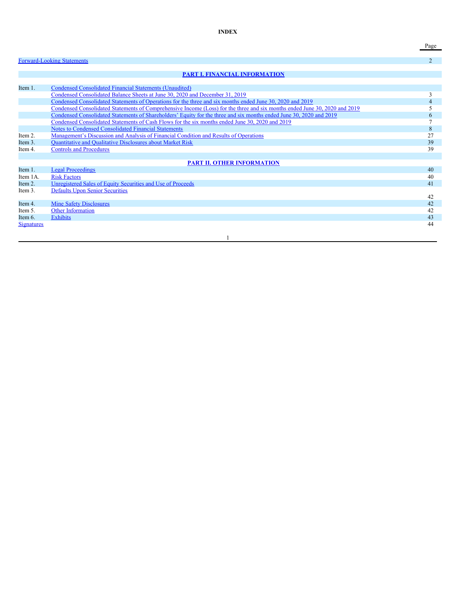# **INDEX**

|            | <b>Forward-Looking Statements</b>                                                                                          |    |
|------------|----------------------------------------------------------------------------------------------------------------------------|----|
|            |                                                                                                                            |    |
|            | <b>PART I. FINANCIAL INFORMATION</b>                                                                                       |    |
|            |                                                                                                                            |    |
| Item 1.    | Condensed Consolidated Financial Statements (Unaudited)                                                                    |    |
|            | Condensed Consolidated Balance Sheets at June 30, 2020 and December 31, 2019                                               | 3  |
|            | Condensed Consolidated Statements of Operations for the three and six months ended June 30, 2020 and 2019                  |    |
|            | Condensed Consolidated Statements of Comprehensive Income (Loss) for the three and six months ended June 30, 2020 and 2019 |    |
|            | Condensed Consolidated Statements of Shareholders' Equity for the three and six months ended June 30, 2020 and 2019        | 6  |
|            | Condensed Consolidated Statements of Cash Flows for the six months ended June 30, 2020 and 2019                            |    |
|            | Notes to Condensed Consolidated Financial Statements                                                                       | 8  |
| Item 2.    | Management's Discussion and Analysis of Financial Condition and Results of Operations                                      | 27 |
| Item 3.    | Quantitative and Qualitative Disclosures about Market Risk                                                                 | 39 |
| Item 4.    | <b>Controls and Procedures</b>                                                                                             | 39 |
|            |                                                                                                                            |    |
|            | <b>PART II. OTHER INFORMATION</b>                                                                                          |    |
| Item 1.    | <b>Legal Proceedings</b>                                                                                                   | 40 |
| Item 1A.   | <b>Risk Factors</b>                                                                                                        | 40 |
| Item 2.    | Unregistered Sales of Equity Securities and Use of Proceeds                                                                | 41 |
| Item 3.    | <b>Defaults Upon Senior Securities</b>                                                                                     |    |
|            |                                                                                                                            | 42 |
| Item 4.    | <b>Mine Safety Disclosures</b>                                                                                             | 42 |
| Item 5.    | <b>Other Information</b>                                                                                                   | 42 |
| Item 6.    | <b>Exhibits</b>                                                                                                            | 43 |
| Signatures |                                                                                                                            | 44 |
|            |                                                                                                                            |    |

1

Page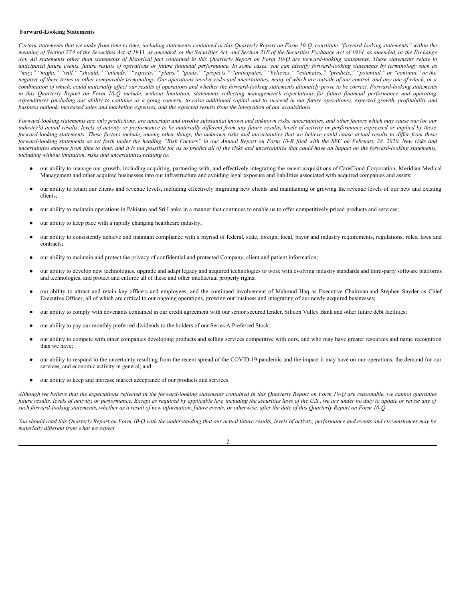### <span id="page-2-0"></span>**Forward-Looking Statements**

Certain statements that we make from time to time, including statements contained in this Quarterly Report on Form 10-Q, constitute "forward-looking statements" within the meaning of Section 27A of the Securities Act of 1933, as amended, or the Securities Act, and Section 21E of the Securities Exchange Act of 1934, as amended, or the Exchange Act. All statements other than statements of historical fact contained in this Quarterly Report on Form 10-Q are forward-looking statements. These statements relate to anticipated future events, future results of operations or future financial performance. In some cases, you can identify forward-looking statements by terminology such as "may," "might," "will," "should," "intends," "expects," "plans," "goals," "projects," "anticipates," "believes," "estimates," "predicts," "potential," or "continue" or the negative of these terms or other comparable terminology. Our operations involve risks and uncertainties, many of which are outside of our control, and any one of which, or a combination of which, could materially affect our results of operations and whether the forward-looking statements ultimately prove to be correct. Forward-looking statements in this Quarterly Report on Form 10-Q include, without limitation, statements reflecting management's expectations for future financial performance and operating expenditures (including our ability to continue as a going concern, to raise additional capital and to succeed in our future operations), expected growth, profitability and business outlook, increased sales and marketing expenses, and the expected results from the integration of our acquisitions.

Forward-looking statements are only predictions, are uncertain and involve substantial known and unknown risks, uncertainties, and other factors which may cause our (or our industry's) actual results, levels of activity or performance to be materially different from any future results, levels of activity or performance expressed or implied by these forward-looking statements. These factors include, among other things, the unknown risks and uncertainties that we believe could cause actual results to differ from these forward-looking statements as set forth under the heading "Risk Factors" in our Annual Report on Form 10-K filed with the SEC on February 28, 2020. New risks and uncertainties emerge from time to time, and it is not possible for us to predict all of the risks and uncertainties that could have an impact on the forward-looking statements, *including without limitation, risks and uncertainties relating to:*

- our ability to manage our growth, including acquiring, partnering with, and effectively integrating the recent acquisitions of CareCloud Corporation, Meridian Medical Management and other acquired businesses into our infrastructure and avoiding legal exposure and liabilities associated with acquired companies and assets;
- our ability to retain our clients and revenue levels, including effectively migrating new clients and maintaining or growing the revenue levels of our new and existing clients;
- our ability to maintain operations in Pakistan and Sri Lanka in a manner that continues to enable us to offer competitively priced products and services;
- our ability to keep pace with a rapidly changing healthcare industry;
- our ability to consistently achieve and maintain compliance with a myriad of federal, state, foreign, local, payor and industry requirements, regulations, rules, laws and contracts;
- our ability to maintain and protect the privacy of confidential and protected Company, client and patient information;
- our ability to develop new technologies, upgrade and adapt legacy and acquired technologies to work with evolving industry standards and third-party software platforms and technologies, and protect and enforce all of these and other intellectual property rights;
- our ability to attract and retain key officers and employees, and the continued involvement of Mahmud Haq as Executive Chairman and Stephen Snyder as Chief Executive Officer, all of which are critical to our ongoing operations, growing our business and integrating of our newly acquired businesses;
- our ability to comply with covenants contained in our credit agreement with our senior secured lender, Silicon Valley Bank and other future debt facilities;
- our ability to pay our monthly preferred dividends to the holders of our Series A Preferred Stock;
- our ability to compete with other companies developing products and selling services competitive with ours, and who may have greater resources and name recognition than we have;
- our ability to respond to the uncertainty resulting from the recent spread of the COVID-19 pandemic and the impact it may have on our operations, the demand for our services, and economic activity in general; and
- our ability to keep and increase market acceptance of our products and services.

Although we believe that the expectations reflected in the forward-looking statements contained in this Quarterly Report on Form 10-Q are reasonable, we cannot guarantee future results, levels of activity, or performance. Except as required by applicable law, including the securities laws of the U.S., we are under no duty to update or revise any of such forward-looking statements, whether as a result of new information, future events, or otherwise, after the date of this Quarterly Report on Form 10-Q.

You should read this Quarterly Report on Form 10-Q with the understanding that our actual future results, levels of activity, performance and events and circumstances may be *materially dif erent from what we expect.*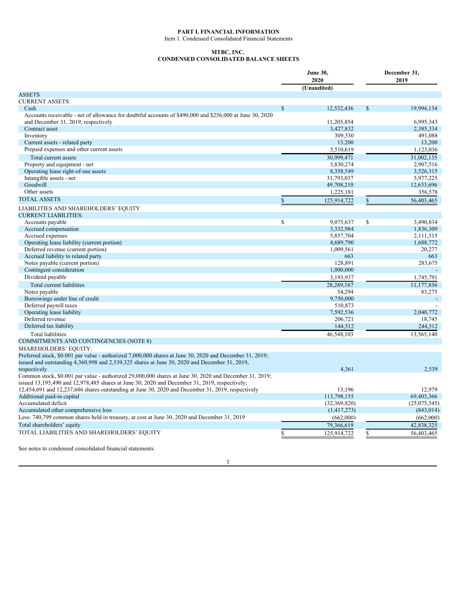## <span id="page-3-0"></span>**PART I. FINANCIAL INFORMATION**

<span id="page-3-1"></span>Item 1. Condensed Consolidated Financial Statements

#### **MTBC, INC.**

## <span id="page-3-2"></span>**CONDENSED CONSOLIDATED BALANCE SHEETS**

|                                                                                                          |              | <b>June 30,</b><br>2020 |               | December 31,<br>2019 |
|----------------------------------------------------------------------------------------------------------|--------------|-------------------------|---------------|----------------------|
|                                                                                                          |              | (Unaudited)             |               |                      |
| <b>ASSETS</b>                                                                                            |              |                         |               |                      |
| <b>CURRENT ASSETS:</b>                                                                                   |              |                         |               |                      |
| Cash                                                                                                     | $\mathbb{S}$ | 12,532,436              | $\mathbb{S}$  | 19,994,134           |
| Accounts receivable - net of allowance for doubtful accounts of \$490,000 and \$256,000 at June 30, 2020 |              |                         |               |                      |
| and December 31, 2019, respectively                                                                      |              | 11,205,854              |               | 6,995,343            |
| Contract asset                                                                                           |              | 3,427,832               |               | 2,385,334            |
| Inventory                                                                                                |              | 309,530                 |               | 491,088              |
| Current assets - related party                                                                           |              | 13,200                  |               | 13,200               |
| Prepaid expenses and other current assets                                                                |              | 3,510,619               |               | 1,123,036            |
| Total current assets                                                                                     |              | 30.999.471              |               | 31.002.135           |
| Property and equipment - net                                                                             |              | 3,830,274               |               | 2,907,516            |
| Operating lease right-of-use assets                                                                      |              | 8,358,549               |               | 3,526,315            |
| Intangible assets - net                                                                                  |              | 31,793,037              |               | 5,977,225            |
| Goodwill                                                                                                 |              | 49,708,210              |               | 12,633,696           |
| Other assets                                                                                             |              | 1,225,181               |               | 356,578              |
| <b>TOTAL ASSETS</b>                                                                                      | $\mathbf S$  | 125,914,722             | $\mathbb{S}$  | 56,403,465           |
|                                                                                                          |              |                         |               |                      |
| LIABILITIES AND SHAREHOLDERS' EQUITY                                                                     |              |                         |               |                      |
| <b>CURRENT LIABILITIES:</b>                                                                              |              |                         |               |                      |
| Accounts payable                                                                                         | $\mathbb{S}$ | 9,075,637               | <sup>\$</sup> | 3,490,834            |
| Accrued compensation                                                                                     |              | 3,332,984               |               | 1,836,309            |
| Accrued expenses                                                                                         |              | 5,857,704               |               | 2,111,515            |
| Operating lease liability (current portion)                                                              |              | 4,689,790               |               | 1,688,772            |
| Deferred revenue (current portion)                                                                       |              | 1,009,561               |               | 20,277               |
| Accrued liability to related party                                                                       |              | 663                     |               | 663                  |
| Notes payable (current portion)                                                                          |              | 128,891                 |               | 283,675              |
| Contingent consideration                                                                                 |              | 1,000,000               |               |                      |
| Dividend payable                                                                                         |              | 3,193,937               |               | 1,745,791            |
| Total current liabilities                                                                                |              | 28,289,167              |               | 11.177.836           |
| Notes payable                                                                                            |              | 54,294                  |               | 83,275               |
| Borrowings under line of credit                                                                          |              | 9,750,000               |               |                      |
| Deferred payroll taxes                                                                                   |              | 510,873                 |               |                      |
| Operating lease liability                                                                                |              | 7,592,536               |               | 2,040,772            |
| Deferred revenue                                                                                         |              | 206,721                 |               | 18,745               |
| Deferred tax liability                                                                                   |              | 144,512                 |               | 244,512              |
| Total liabilities                                                                                        |              | 46,548,103              |               | 13,565,140           |
| <b>COMMITMENTS AND CONTINGENCIES (NOTE 8)</b>                                                            |              |                         |               |                      |
|                                                                                                          |              |                         |               |                      |
| <b>SHAREHOLDERS' EQUITY:</b>                                                                             |              |                         |               |                      |
| Preferred stock, \$0.001 par value - authorized 7,000,000 shares at June 30, 2020 and December 31, 2019; |              |                         |               |                      |
| issued and outstanding 4,360,998 and 2,539,325 shares at June 30, 2020 and December 31, 2019,            |              |                         |               |                      |
| respectively                                                                                             |              | 4,361                   |               | 2,539                |
| Common stock, \$0.001 par value - authorized 29,000,000 shares at June 30, 2020 and December 31, 2019;   |              |                         |               |                      |
| issued $13,195,490$ and $12,978,485$ shares at June 30, 2020 and December 31, 2019, respectively;        |              |                         |               |                      |
| $12,454,691$ and $12,237,686$ shares outstanding at June 30, 2020 and December 31, 2019, respectively    |              | 13,196                  |               | 12.979               |
| Additional paid-in capital                                                                               |              | 113,798,155             |               | 69,403,366           |
| Accumulated deficit                                                                                      |              | (32,369,820)            |               | (25,075,545)         |
| Accumulated other comprehensive loss                                                                     |              | (1,417,273)             |               | (843, 014)           |
| Less: 740,799 common shares held in treasury, at cost at June 30, 2020 and December 31, 2019             |              | (662,000)               |               | (662,000)            |
| Total shareholders' equity                                                                               |              | 79,366,619              |               | 42,838,325           |
| TOTAL LIABILITIES AND SHAREHOLDERS' EQUITY                                                               | \$           | 125,914,722             | \$            | 56,403,465           |
|                                                                                                          |              |                         |               |                      |

See notes to condensed consolidated financial statements.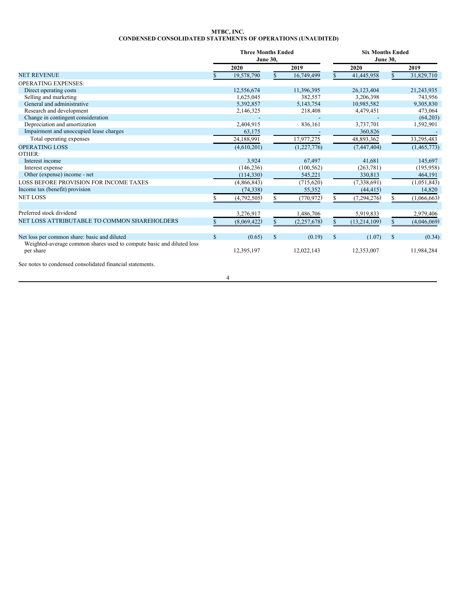## <span id="page-4-0"></span>**MTBC, INC. CONDENSED CONSOLIDATED STATEMENTS OF OPERATIONS (UNAUDITED)**

|                                                                                    | <b>Three Months Ended</b> |             |    |             |                 | <b>Six Months Ended</b> |              |             |  |  |  |
|------------------------------------------------------------------------------------|---------------------------|-------------|----|-------------|-----------------|-------------------------|--------------|-------------|--|--|--|
|                                                                                    | <b>June 30,</b>           |             |    |             | <b>June 30,</b> |                         |              |             |  |  |  |
|                                                                                    |                           | 2020        |    | 2019        |                 | 2020                    |              | 2019        |  |  |  |
| <b>NET REVENUE</b>                                                                 |                           | 19,578,790  |    | 16,749,499  |                 | 41,445,958              |              | 31,829,710  |  |  |  |
| <b>OPERATING EXPENSES:</b>                                                         |                           |             |    |             |                 |                         |              |             |  |  |  |
| Direct operating costs                                                             |                           | 12,556,674  |    | 11,396,395  |                 | 26,123,404              |              | 21,243,935  |  |  |  |
| Selling and marketing                                                              |                           | 1,625,045   |    | 382,557     |                 | 3,206,398               |              | 743,956     |  |  |  |
| General and administrative                                                         |                           | 5,392,857   |    | 5,143,754   |                 | 10,985,582              |              | 9,305,830   |  |  |  |
| Research and development                                                           |                           | 2,146,325   |    | 218,408     |                 | 4,479,451               |              | 473,064     |  |  |  |
| Change in contingent consideration                                                 |                           |             |    |             |                 |                         |              | (64,203)    |  |  |  |
| Depreciation and amortization                                                      |                           | 2,404,915   |    | 836,161     |                 | 3,737,701               |              | 1,592,901   |  |  |  |
| Impairment and unoccupied lease charges                                            |                           | 63,175      |    |             |                 | 360,826                 |              |             |  |  |  |
| Total operating expenses                                                           |                           | 24,188,991  |    | 17,977,275  |                 | 48,893,362              |              | 33,295,483  |  |  |  |
| <b>OPERATING LOSS</b>                                                              |                           | (4,610,201) |    | (1,227,776) |                 | (7,447,404)             |              | (1,465,773) |  |  |  |
| OTHER:                                                                             |                           |             |    |             |                 |                         |              |             |  |  |  |
| Interest income                                                                    |                           | 3,924       |    | 67,497      |                 | 41.681                  |              | 145,697     |  |  |  |
| Interest expense                                                                   |                           | (146, 236)  |    | (100, 562)  |                 | (263, 781)              |              | (195, 958)  |  |  |  |
| Other (expense) income - net                                                       |                           | (114, 330)  |    | 545,221     |                 | 330,813                 |              | 464,191     |  |  |  |
| <b>LOSS BEFORE PROVISION FOR INCOME TAXES</b>                                      |                           | (4,866,843) |    | (715, 620)  |                 | (7,338,691)             |              | (1,051,843) |  |  |  |
| Income tax (benefit) provision                                                     |                           | (74, 338)   |    | 55,352      |                 | (44, 415)               |              | 14,820      |  |  |  |
| <b>NET LOSS</b>                                                                    |                           | (4,792,505) | S. | (770, 972)  |                 | (7, 294, 276)           | S            | (1,066,663) |  |  |  |
|                                                                                    |                           |             |    |             |                 |                         |              |             |  |  |  |
| Preferred stock dividend                                                           |                           | 3,276,917   |    | 1,486,706   |                 | 5,919,833               |              | 2,979,406   |  |  |  |
| NET LOSS ATTRIBUTABLE TO COMMON SHAREHOLDERS                                       |                           | (8,069,422) | \$ | (2,257,678) | \$              | (13,214,109)            | S.           | (4,046,069) |  |  |  |
|                                                                                    |                           |             |    |             |                 |                         |              |             |  |  |  |
| Net loss per common share: basic and diluted                                       | <sup>\$</sup>             | (0.65)      | \$ | (0.19)      | $\mathbb{S}$    | (1.07)                  | $\mathbb{S}$ | (0.34)      |  |  |  |
| Weighted-average common shares used to compute basic and diluted loss<br>per share |                           | 12,395,197  |    | 12,022,143  |                 | 12,353,007              |              | 11,984,284  |  |  |  |
| See notes to condensed consolidated financial statements.                          |                           |             |    |             |                 |                         |              |             |  |  |  |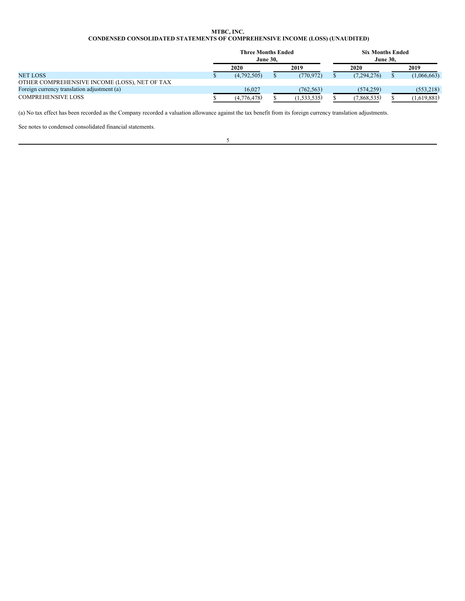## <span id="page-5-0"></span>**MTBC, INC. CONDENSED CONSOLIDATED STATEMENTS OF COMPREHENSIVE INCOME (LOSS) (UNAUDITED)**

|                                               | <b>Three Months Ended</b><br><b>June 30.</b> |             |  |               | <b>Six Months Ended</b><br><b>June 30.</b> |             |  |             |
|-----------------------------------------------|----------------------------------------------|-------------|--|---------------|--------------------------------------------|-------------|--|-------------|
|                                               |                                              | 2020        |  | 2019          |                                            | 2020        |  | 2019        |
| <b>NET LOSS</b>                               |                                              | (4,792,505) |  | (770, 972)    |                                            | (7,294,276) |  | (1,066,663) |
| OTHER COMPREHENSIVE INCOME (LOSS), NET OF TAX |                                              |             |  |               |                                            |             |  |             |
| Foreign currency translation adjustment (a)   |                                              | 16.027      |  | (762.563)     |                                            | (574.259)   |  | (553, 218)  |
| <b>COMPREHENSIVE LOSS</b>                     |                                              | (4,776,478) |  | (1, 533, 535) |                                            | (7,868,535) |  | (1.619.881) |

(a) No tax effect has been recorded as the Company recorded a valuation allowance against the tax benefit from its foreign currency translation adjustments.

See notes to condensed consolidated financial statements.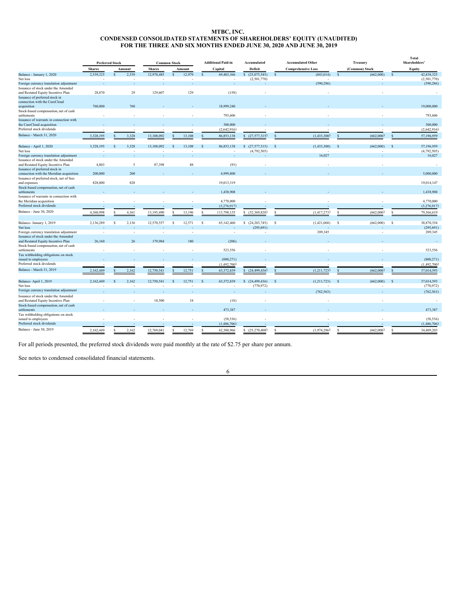#### <span id="page-6-0"></span>**MTBC, INC. CONDENSED CONSOLIDATED STATEMENTS OF SHAREHOLDERS' EQUITY (UNAUDITED) FOR THE THREE AND SIX MONTHS ENDED JUNE 30, 2020 AND JUNE 30, 2019**

|                                                        |               | <b>Preferred Stock</b>      |               | <b>Common Stock</b>          |   | <b>Additional Paid-in</b> | <b>Accumulated</b>             |             | <b>Accumulated Other</b>  |    | Treasury       |   | Total<br>Shareholders' |
|--------------------------------------------------------|---------------|-----------------------------|---------------|------------------------------|---|---------------------------|--------------------------------|-------------|---------------------------|----|----------------|---|------------------------|
|                                                        | <b>Shares</b> | Amount                      | <b>Shares</b> | Amount                       |   | Capital                   | Deficit                        |             | <b>Comprehensive Loss</b> |    | (Common) Stock |   | Equity                 |
| Balance - January 1, 2020                              | 2,539,325     | 2,539<br>$\mathbf{\hat{S}}$ | 12,978,485    | 12,979<br>$\mathbf{\hat{S}}$ |   | 69,403,366                | $\mathsf{s}$<br>(25,075,545)   | s           | (843, 014)                |    | (662,000)      |   | 42,838,325             |
| Net loss                                               |               | $\overline{a}$              |               |                              |   | ٠.                        | (2,501,770)                    |             |                           |    |                |   | (2,501,770)            |
| Foreign currency translation adjustment                |               |                             |               |                              |   |                           |                                |             | (590, 286)                |    |                |   | (590, 286)             |
| Issuance of stock under the Amended                    |               |                             |               |                              |   |                           |                                |             |                           |    |                |   |                        |
| and Restated Equity Incentive Plan                     | 28,870        | 29                          | 129,607       | 129                          |   | (158)                     |                                |             |                           |    |                |   |                        |
| Issuance of preferred stock in                         |               |                             |               |                              |   |                           |                                |             |                           |    |                |   |                        |
| connection with the CareCloud                          |               |                             |               |                              |   |                           |                                |             |                           |    |                |   |                        |
| acquisition                                            | 760,000       | 760                         |               |                              |   | 18,999,240                |                                |             |                           |    |                |   | 19,000,000             |
| Stock-based compensation, net of cash                  |               |                             |               |                              |   |                           |                                |             |                           |    |                |   |                        |
| settlements                                            |               |                             |               |                              |   | 793,606                   |                                |             |                           |    |                |   | 793,606                |
| Issuance of warrants in connection with                |               |                             |               |                              |   | 300,000                   |                                |             |                           |    |                |   | 300,000                |
| the CareCloud acquisition<br>Preferred stock dividends |               |                             |               |                              |   |                           |                                |             |                           |    |                |   |                        |
|                                                        |               |                             |               |                              |   | (2,642,916)               |                                |             |                           |    |                |   | (2,642,916)            |
| Balance - March 31, 2020                               | 3.328.195     | 3,328                       | 13,108,092    | 13,108                       |   | 86,853,138                | (27.577.315)                   |             | (1.433.300)               |    | (662,000)      |   | 57,196,959             |
|                                                        |               |                             |               |                              |   |                           |                                |             |                           |    |                |   |                        |
| Balance - April 1, 2020                                | 3,328,195     | 3,328<br>S                  | 13,108,092    | 13,108                       | S | 86,853,138                | \$ (27,577,315)                | $\mathbf S$ | (1,433,300)               |    | (662,000)      | S | 57,196,959             |
| Net loss                                               |               | $\overline{\phantom{a}}$    |               |                              |   | $\overline{\phantom{a}}$  | (4,792,505)                    |             |                           |    |                |   | (4,792,505)            |
| Foreign currency translation adjustment                |               |                             |               |                              |   |                           |                                |             | 16,027                    |    |                |   | 16,027                 |
| Issuance of stock under the Amended                    |               |                             |               |                              |   |                           |                                |             |                           |    |                |   |                        |
| and Restated Equity Incentive Plan                     | 4,803         | 5                           | 87.398        | 88                           |   | (93)                      |                                |             |                           |    |                |   |                        |
| Issuance of preferred stock in                         |               |                             |               |                              |   |                           |                                |             |                           |    |                |   |                        |
| connection with the Meridian acquisition               | 200,000       | 200                         |               |                              |   | 4,999,800                 |                                |             |                           |    |                |   | 5,000,000              |
| Issuance of preferred stock, net of fees               |               |                             |               |                              |   |                           |                                |             |                           |    |                |   |                        |
| and expenses                                           | 828,000       | 828                         |               |                              |   | 19,013,319                |                                |             |                           |    |                |   | 19,014,147             |
| Stock-based compensation, net of cash                  |               |                             |               |                              |   |                           |                                |             |                           |    |                |   |                        |
| settlements                                            |               |                             |               |                              |   | 1,438,908                 |                                |             |                           |    |                |   | 1,438,908              |
| Issuance of warrants in connection with                |               |                             |               |                              |   |                           |                                |             |                           |    |                |   |                        |
| the Meridian acquisition                               |               |                             |               |                              |   | 4,770,000                 |                                |             |                           |    |                |   | 4,770,000              |
| Preferred stock dividends                              |               |                             |               |                              |   | (3,276,917)               |                                |             |                           |    |                |   | (3,276,917)            |
| Balance - June 30, 2020                                | 4.360.998     | 4,361                       | 13,195,490    | 13,196                       |   | 113,798,155               | (32,369,820)                   |             | (1, 417, 273)             |    | (662,000)      |   | 79,366,619             |
|                                                        |               |                             |               |                              |   |                           |                                |             |                           |    |                |   |                        |
| Balance- January 1, 2019                               | 2,136,289     | 2,136<br>s                  | 12,570,557    | 12,571<br>s                  | s | 65,142,460                | \$ (24,203,745)                | s           | (1,421,068)               | -S | (662,000)      | s | 38,870,354             |
| Net loss                                               |               |                             |               |                              |   |                           | (295, 691)                     |             |                           |    |                |   | (295, 691)             |
| Foreign currency translation adjustment                |               | ÷,                          |               |                              |   | ÷,                        |                                |             | 209,345                   |    |                |   | 209,345                |
| Issuance of stock under the Amended                    |               |                             |               |                              |   |                           |                                |             |                           |    |                |   |                        |
| and Restated Equity Incentive Plan                     | 26,160        | 26                          | 179,984       | 180                          |   | (206)                     |                                |             |                           |    |                |   |                        |
| Stock-based compensation, net of cash                  |               |                             |               |                              |   |                           |                                |             |                           |    |                |   |                        |
| settlements                                            |               |                             |               |                              |   | 523,556                   |                                |             |                           |    |                |   | 523,556                |
| Tax withholding obligations on stock                   |               |                             |               |                              |   |                           |                                |             |                           |    |                |   |                        |
| issued to employees                                    |               |                             |               |                              |   | (800, 271)                |                                |             |                           |    |                |   | (800, 271)             |
| Preferred stock dividends                              |               |                             |               |                              |   | (1,492,700)               |                                |             |                           |    |                |   | (1,492,700)            |
| Balance - March 31, 2019                               | 2,162,449     | 2,162                       | 12,750,541    | 12,751                       |   | 63,372,839                | (24, 499, 436)<br>$\mathbf{s}$ | S           | (1,211,723)               |    | (662,000)      |   | 37,014,593             |
|                                                        |               |                             |               |                              |   |                           |                                |             |                           |    |                |   |                        |
| Balance- April 1, 2019                                 | 2,162,449     | 2,162                       | 12,750,541    | 12,751                       | S | 63,372,839                | \$ (24,499,436)                |             | (1, 211, 723)             |    | (662,000)      |   | 37,014,593             |
| Net loss                                               |               | ä,                          |               |                              |   |                           | (770, 972)                     |             |                           |    |                |   | (770, 972)             |
| Foreign currency translation adjustment                |               |                             |               |                              |   |                           |                                |             |                           |    |                |   |                        |
|                                                        |               |                             |               |                              |   |                           |                                |             | (762, 563)                |    |                |   | (762, 563)             |
| Issuance of stock under the Amended                    |               |                             |               |                              |   |                           |                                |             |                           |    |                |   |                        |
| and Restated Equity Incentive Plan                     |               |                             | 18,500        | 18                           |   | (18)                      |                                |             |                           |    |                |   |                        |
| Stock-based compensation, net of cash                  |               |                             |               |                              |   | 473,387                   |                                |             |                           |    |                |   | 473,387                |
| settlements<br>Tax withholding obligations on stock    |               |                             |               |                              |   |                           |                                |             |                           |    |                |   |                        |
| issued to employees                                    |               |                             |               |                              |   | (58, 536)                 |                                |             |                           |    |                |   | (58, 536)              |
| Preferred stock dividends                              |               |                             |               |                              |   | (1,486,706)               |                                |             |                           |    |                |   | (1,486,706)            |
|                                                        |               |                             |               |                              |   |                           |                                |             |                           |    |                |   |                        |
| Balance - June 30, 2019                                | 2.162.449     | 2.162                       | 12,769,041    | 12,769                       |   | 62.300.966                | (25,270,408)<br>s              |             | (1,974,286)               |    | (662,000)      |   | 34.409.203             |

For all periods presented, the preferred stock dividends were paid monthly at the rate of \$2.75 per share per annum.

See notes to condensed consolidated financial statements.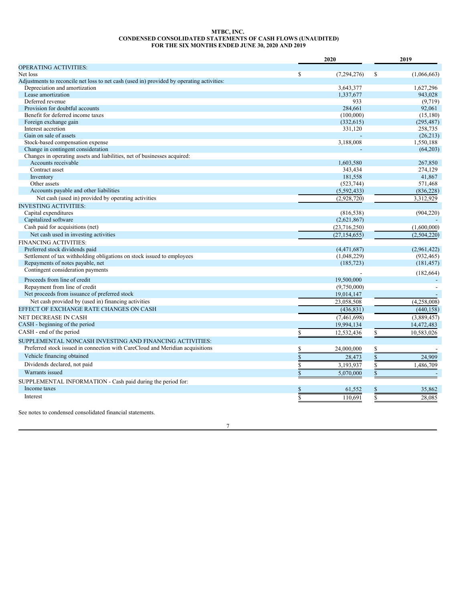## <span id="page-7-0"></span>**MTBC, INC. CONDENSED CONSOLIDATED STATEMENTS OF CASH FLOWS (UNAUDITED) FOR THE SIX MONTHS ENDED JUNE 30, 2020 AND 2019**

|                                                                                                 |             | 2020           |                    | 2019        |  |  |
|-------------------------------------------------------------------------------------------------|-------------|----------------|--------------------|-------------|--|--|
| <b>OPERATING ACTIVITIES:</b>                                                                    |             |                |                    |             |  |  |
| Net loss                                                                                        | \$.         | (7, 294, 276)  | \$                 | (1,066,663) |  |  |
| Adjustments to reconcile net loss to net cash (used in) provided by operating activities:       |             |                |                    |             |  |  |
| Depreciation and amortization                                                                   |             | 3,643,377      |                    | 1,627,296   |  |  |
| Lease amortization                                                                              |             | 1,337,677      |                    | 943,028     |  |  |
| Deferred revenue                                                                                |             | 933            |                    | (9,719)     |  |  |
| Provision for doubtful accounts                                                                 |             | 284,661        |                    | 92.061      |  |  |
| Benefit for deferred income taxes                                                               |             | (100,000)      |                    | (15, 180)   |  |  |
| Foreign exchange gain                                                                           |             | (332, 615)     |                    | (295, 487)  |  |  |
| Interest accretion                                                                              |             | 331,120        |                    | 258,735     |  |  |
| Gain on sale of assets                                                                          |             |                |                    | (26,213)    |  |  |
| Stock-based compensation expense                                                                |             | 3,188,008      |                    | 1,550,188   |  |  |
| Change in contingent consideration                                                              |             |                |                    | (64,203)    |  |  |
| Changes in operating assets and liabilities, net of businesses acquired:<br>Accounts receivable |             | 1,603,580      |                    | 267,850     |  |  |
| Contract asset                                                                                  |             | 343,434        |                    | 274,129     |  |  |
| Inventory                                                                                       |             | 181,558        |                    | 41.867      |  |  |
| Other assets                                                                                    |             | (523, 744)     |                    | 571,468     |  |  |
| Accounts payable and other liabilities                                                          |             | (5,592,433)    |                    | (836, 228)  |  |  |
| Net cash (used in) provided by operating activities                                             |             |                |                    |             |  |  |
|                                                                                                 |             | (2,928,720)    |                    | 3,312,929   |  |  |
| <b>INVESTING ACTIVITIES:</b>                                                                    |             |                |                    |             |  |  |
| Capital expenditures                                                                            |             | (816, 538)     |                    | (904, 220)  |  |  |
| Capitalized software                                                                            |             | (2,621,867)    |                    |             |  |  |
| Cash paid for acquisitions (net)                                                                |             | (23,716,250)   |                    | (1,600,000) |  |  |
| Net cash used in investing activities                                                           |             | (27, 154, 655) |                    | (2,504,220) |  |  |
| <b>FINANCING ACTIVITIES:</b>                                                                    |             |                |                    |             |  |  |
| Preferred stock dividends paid                                                                  |             | (4,471,687)    |                    | (2,961,422) |  |  |
| Settlement of tax withholding obligations on stock issued to employees                          |             | (1,048,229)    |                    | (932, 465)  |  |  |
| Repayments of notes payable, net                                                                |             | (185, 723)     |                    | (181, 457)  |  |  |
| Contingent consideration payments                                                               |             |                |                    | (182, 664)  |  |  |
| Proceeds from line of credit                                                                    |             | 19,500,000     |                    |             |  |  |
| Repayment from line of credit                                                                   |             | (9,750,000)    |                    |             |  |  |
| Net proceeds from issuance of preferred stock                                                   |             | 19.014.147     |                    |             |  |  |
| Net cash provided by (used in) financing activities                                             |             | 23,058,508     |                    | (4,258,008) |  |  |
| EFFECT OF EXCHANGE RATE CHANGES ON CASH                                                         |             | (436, 831)     |                    | (440.158)   |  |  |
| <b>NET DECREASE IN CASH</b>                                                                     |             | (7,461,698)    |                    | (3,889,457) |  |  |
| CASH - beginning of the period                                                                  |             | 19,994,134     |                    | 14,472,483  |  |  |
| CASH - end of the period                                                                        | ς           | 12,532,436     | S.                 | 10,583,026  |  |  |
| SUPPLEMENTAL NONCASH INVESTING AND FINANCING ACTIVITIES:                                        |             |                |                    |             |  |  |
| Preferred stock issued in connection with CareCloud and Meridian acquisitions                   |             |                |                    |             |  |  |
|                                                                                                 | S           | 24,000,000     | \$                 |             |  |  |
| Vehicle financing obtained                                                                      | $\mathbf S$ | 28,473         | $\mathsf{\$}$      | 24.909      |  |  |
| Dividends declared, not paid                                                                    | ς           | 3,193,937      | $\mathbb{S}$       | 1,486,709   |  |  |
| Warrants issued                                                                                 | \$          | 5.070.000      | $\mathbf S$        |             |  |  |
| SUPPLEMENTAL INFORMATION - Cash paid during the period for:                                     |             |                |                    |             |  |  |
| Income taxes                                                                                    | $\mathbf S$ | 61,552         | $\mathbb{S}$       | 35,862      |  |  |
| Interest                                                                                        | ፍ           | 110,691        | $\mathbf{\hat{S}}$ | 28,085      |  |  |
|                                                                                                 |             |                |                    |             |  |  |

See notes to condensed consolidated financial statements.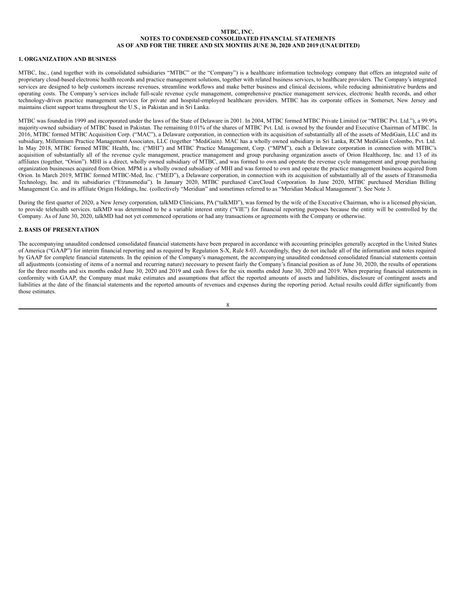### <span id="page-8-0"></span>**MTBC, INC. NOTES TO CONDENSED CONSOLIDATED FINANCIAL STATEMENTS AS OF AND FOR THE THREE AND SIX MONTHS JUNE 30, 2020 AND 2019 (UNAUDITED)**

#### **1. ORGANIZATION AND BUSINESS**

MTBC, Inc., (and together with its consolidated subsidiaries "MTBC" or the "Company") is a healthcare information technology company that offers an integrated suite of proprietary cloud-based electronic health records and practice management solutions, together with related business services, to healthcare providers. The Company's integrated services are designed to help customers increase revenues, streamline workflows and make better business and clinical decisions, while reducing administrative burdens and operating costs. The Company's services include full-scale revenue cycle management, comprehensive practice management services, electronic health records, and other technology-driven practice management services for private and hospital-employed healthcare providers. MTBC has its corporate offices in Somerset, New Jersey and maintains client support teams throughout the U.S., in Pakistan and in Sri Lanka.

MTBC was founded in 1999 and incorporated under the laws of the State of Delaware in 2001. In 2004, MTBC formed MTBC Private Limited (or "MTBC Pvt. Ltd."), a 99.9% majority-owned subsidiary of MTBC based in Pakistan. The remaining 0.01% of the shares of MTBC Pvt. Ltd. is owned by the founder and Executive Chairman of MTBC. In 2016, MTBC formed MTBC Acquisition Corp. ("MAC"), a Delaware corporation, in connection with its acquisition of substantially all of the assets of MediGain, LLC and its subsidiary, Millennium Practice Management Associates, LLC (together "MediGain). MAC has a wholly owned subsidiary in Sri Lanka, RCM MediGain Colombo, Pvt. Ltd. In May 2018, MTBC formed MTBC Health, Inc. ("MHI") and MTBC Practice Management, Corp. ("MPM"), each a Delaware corporation in connection with MTBC's acquisition of substantially all of the revenue cycle management, practice management and group purchasing organization assets of Orion Healthcorp, Inc. and 13 of its affiliates (together, "Orion"). MHI is a direct, wholly owned subsidiary of MTBC, and was formed to own and operate the revenue cycle management and group purchasing organization businesses acquired from Orion. MPM is a wholly owned subsidiary of MHI and was formed to own and operate the practice management business acquired from Orion. In March 2019, MTBC formed MTBC-Med, Inc. ("MED"), a Delaware corporation, in connection with its acquisition of substantially all of the assets of Etransmedia Technology, Inc. and its subsidiaries ("Etransmedia"). In January 2020, MTBC purchased CareCloud Corporation. In June 2020, MTBC purchased Meridian Billing Management Co. and its affiliate Origin Holdings, Inc. (collectively "Meridian" and sometimes referred to as "Meridian Medical Management"). See Note 3.

During the first quarter of 2020, a New Jersey corporation, talkMD Clinicians, PA ("talkMD"), was formed by the wife of the Executive Chairman, who is a licensed physician, to provide telehealth services. talkMD was determined to be a variable interest entity ("VIE") for financial reporting purposes because the entity will be controlled by the Company. As of June 30, 2020, talkMD had not yet commenced operations or had any transactions or agreements with the Company or otherwise.

## **2. BASIS OF PRESENTATION**

The accompanying unaudited condensed consolidated financial statements have been prepared in accordance with accounting principles generally accepted in the United States of America ("GAAP") for interim financial reporting and as required by Regulation S-X, Rule 8-03. Accordingly, they do not include all of the information and notes required by GAAP for complete financial statements. In the opinion of the Company's management, the accompanying unaudited condensed consolidated financial statements contain all adjustments (consisting of items of a normal and recurring nature) necessary to present fairly the Company's financial position as of June 30, 2020, the results of operations for the three months and six months ended June 30, 2020 and 2019 and cash flows for the six months ended June 30, 2020 and 2019. When preparing financial statements in conformity with GAAP, the Company must make estimates and assumptions that affect the reported amounts of assets and liabilities, disclosure of contingent assets and liabilities at the date of the financial statements and the reported amounts of revenues and expenses during the reporting period. Actual results could differ significantly from those estimates.

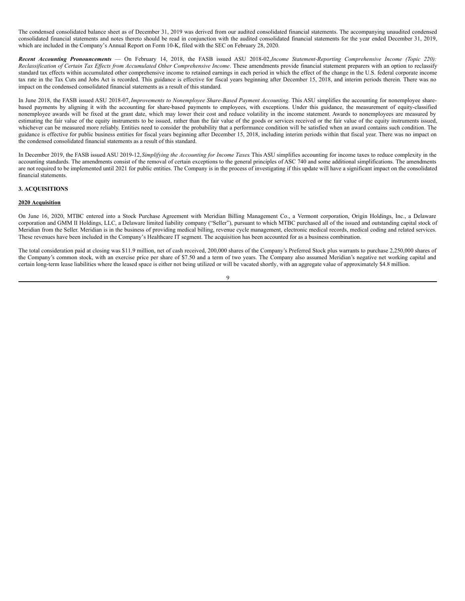The condensed consolidated balance sheet as of December 31, 2019 was derived from our audited consolidated financial statements. The accompanying unaudited condensed consolidated financial statements and notes thereto should be read in conjunction with the audited consolidated financial statements for the year ended December 31, 2019, which are included in the Company's Annual Report on Form 10-K, filed with the SEC on February 28, 2020.

*Recent Accounting Pronouncements* — On February 14, 2018, the FASB issued ASU 2018-02,*Income Statement-Reporting Comprehensive Income (Topic 220):* Reclassification of Certain Tax Effects from Accumulated Other Comprehensive Income. These amendments provide financial statement preparers with an option to reclassify standard tax effects within accumulated other comprehensive income to retained earnings in each period in which the effect of the change in the U.S. federal corporate income tax rate in the Tax Cuts and Jobs Act is recorded. This guidance is effective for fiscal years beginning after December 15, 2018, and interim periods therein. There was no impact on the condensed consolidated financial statements as a result of this standard.

In June 2018, the FASB issued ASU 2018-07,*Improvements to Nonemployee Share-Based Payment Accounting*. This ASU simplifies the accounting for nonemployee sharebased payments by aligning it with the accounting for share-based payments to employees, with exceptions. Under this guidance, the measurement of equity-classified nonemployee awards will be fixed at the grant date, which may lower their cost and reduce volatility in the income statement. Awards to nonemployees are measured by estimating the fair value of the equity instruments to be issued, rather than the fair value of the goods or services received or the fair value of the equity instruments issued, whichever can be measured more reliably. Entities need to consider the probability that a performance condition will be satisfied when an award contains such condition. The guidance is effective for public business entities for fiscal years beginning after December 15, 2018, including interim periods within that fiscal year. There was no impact on the condensed consolidated financial statements as a result of this standard.

In December 2019, the FASB issued ASU 2019-12,*Simplifying the Accounting for Income Taxes*. This ASU simplifies accounting for income taxes to reduce complexity in the accounting standards. The amendments consist of the removal of certain exceptions to the general principles of ASC 740 and some additional simplifications. The amendments are not required to be implemented until 2021 for public entities. The Company is in the process of investigating if this update will have a significant impact on the consolidated financial statements.

## **3. ACQUISITIONS**

#### **2020 Acquisition**

On June 16, 2020, MTBC entered into a Stock Purchase Agreement with Meridian Billing Management Co., a Vermont corporation, Origin Holdings, Inc., a Delaware corporation and GMM II Holdings, LLC, a Delaware limited liability company ("Seller"), pursuant to which MTBC purchased all of the issued and outstanding capital stock of Meridian from the Seller. Meridian is in the business of providing medical billing, revenue cycle management, electronic medical records, medical coding and related services. These revenues have been included in the Company's Healthcare IT segment. The acquisition has been accounted for as a business combination.

The total consideration paid at closing was \$11.9 million, net of cash received, 200,000 shares of the Company's Preferred Stock plus warrants to purchase 2,250,000 shares of the Company's common stock, with an exercise price per share of \$7.50 and a term of two years. The Company also assumed Meridian's negative net working capital and certain long-term lease liabilities where the leased space is either not being utilized or will be vacated shortly, with an aggregate value of approximately \$4.8 million.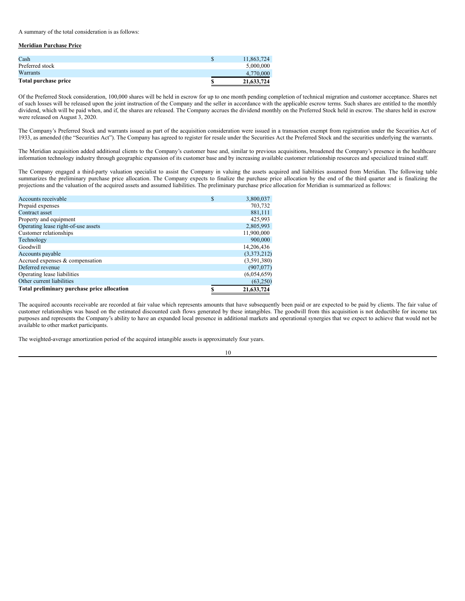A summary of the total consideration is as follows:

## **Meridian Purchase Price**

| Cash                 | 11.863.724 |
|----------------------|------------|
| Preferred stock      | 5,000,000  |
| Warrants             | 4,770,000  |
| Total purchase price | 21,633,724 |

Of the Preferred Stock consideration, 100,000 shares will be held in escrow for up to one month pending completion of technical migration and customer acceptance. Shares net of such losses will be released upon the joint instruction of the Company and the seller in accordance with the applicable escrow terms. Such shares are entitled to the monthly dividend, which will be paid when, and if, the shares are released. The Company accrues the dividend monthly on the Preferred Stock held in escrow. The shares held in escrow were released on August 3, 2020.

The Company's Preferred Stock and warrants issued as part of the acquisition consideration were issued in a transaction exempt from registration under the Securities Act of 1933, as amended (the "Securities Act"). The Company has agreed to register for resale under the Securities Act the Preferred Stock and the securities underlying the warrants.

The Meridian acquisition added additional clients to the Company's customer base and, similar to previous acquisitions, broadened the Company's presence in the healthcare information technology industry through geographic expansion of its customer base and by increasing available customer relationship resources and specialized trained staff.

The Company engaged a third-party valuation specialist to assist the Company in valuing the assets acquired and liabilities assumed from Meridian. The following table summarizes the preliminary purchase price allocation. The Company expects to finalize the purchase price allocation by the end of the third quarter and is finalizing the projections and the valuation of the acquired assets and assumed liabilities. The preliminary purchase price allocation for Meridian is summarized as follows:

| Total preliminary purchase price allocation | 21,633,724  |
|---------------------------------------------|-------------|
| Other current liabilities                   | (63,250)    |
| Operating lease liabilities                 | (6,054,659) |
| Deferred revenue                            | (907, 077)  |
| Accrued expenses & compensation             | (3,591,380) |
| Accounts payable                            | (3,373,212) |
| Goodwill                                    | 14,206,436  |
| Technology                                  | 900,000     |
| Customer relationships                      | 11,900,000  |
| Operating lease right-of-use assets         | 2,805,993   |
| Property and equipment                      | 425,993     |
| Contract asset                              | 881,111     |
| Prepaid expenses                            | 703,732     |
| Accounts receivable                         | 3,800,037   |
|                                             |             |

The acquired accounts receivable are recorded at fair value which represents amounts that have subsequently been paid or are expected to be paid by clients. The fair value of customer relationships was based on the estimated discounted cash flows generated by these intangibles. The goodwill from this acquisition is not deductible for income tax purposes and represents the Company's ability to have an expanded local presence in additional markets and operational synergies that we expect to achieve that would not be available to other market participants.

The weighted-average amortization period of the acquired intangible assets is approximately four years.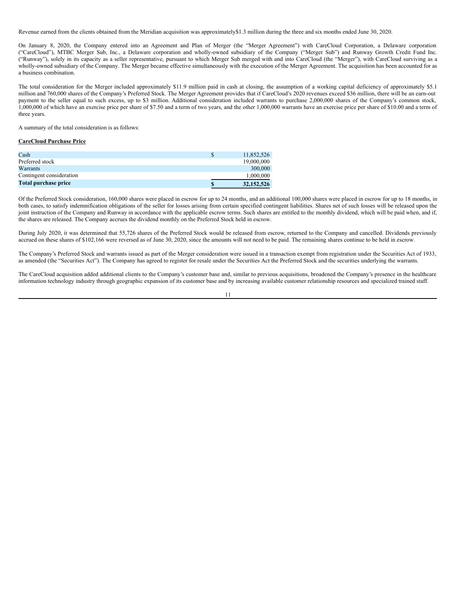Revenue earned from the clients obtained from the Meridian acquisition was approximately\$1.3 million during the three and six months ended June 30, 2020.

On January 8, 2020, the Company entered into an Agreement and Plan of Merger (the "Merger Agreement") with CareCloud Corporation, a Delaware corporation ("CareCloud"), MTBC Merger Sub, Inc., a Delaware corporation and wholly-owned subsidiary of the Company ("Merger Sub") and Runway Growth Credit Fund Inc. ("Runway"), solely in its capacity as a seller representative, pursuant to which Merger Sub merged with and into CareCloud (the "Merger"), with CareCloud surviving as a wholly-owned subsidiary of the Company. The Merger became effective simultaneously with the execution of the Merger Agreement. The acquisition has been accounted for as a business combination.

The total consideration for the Merger included approximately \$11.9 million paid in cash at closing, the assumption of a working capital deficiency of approximately \$5.1 million and 760,000 shares of the Company's Preferred Stock. The Merger Agreement provides that if CareCloud's 2020 revenues exceed \$36 million, there will be an earn-out payment to the seller equal to such excess, up to \$3 million. Additional consideration included warrants to purchase 2,000,000 shares of the Company's common stock, 1,000,000 of which have an exercise price per share of \$7.50 and a term of two years, and the other 1,000,000 warrants have an exercise price per share of \$10.00 and a term of three years.

A summary of the total consideration is as follows:

#### **CareCloud Purchase Price**

| Cash                     | 11.852.526   |
|--------------------------|--------------|
| Preferred stock          | 19,000,000   |
| Warrants                 | 300,000      |
| Contingent consideration | 1,000,000    |
| Total purchase price     | 32, 152, 526 |

Of the Preferred Stock consideration, 160,000 shares were placed in escrow for up to 24 months, and an additional 100,000 shares were placed in escrow for up to 18 months, in both cases, to satisfy indemnification obligations of the seller for losses arising from certain specified contingent liabilities. Shares net of such losses will be released upon the joint instruction of the Company and Runway in accordance with the applicable escrow terms. Such shares are entitled to the monthly dividend, which will be paid when, and if, the shares are released. The Company accrues the dividend monthly on the Preferred Stock held in escrow.

During July 2020, it was determined that 55,726 shares of the Preferred Stock would be released from escrow, returned to the Company and cancelled. Dividends previously accrued on these shares of \$102,166 were reversed as of June 30, 2020, since the amounts will not need to be paid. The remaining shares continue to be held in escrow.

The Company's Preferred Stock and warrants issued as part of the Merger consideration were issued in a transaction exempt from registration under the Securities Act of 1933, as amended (the "Securities Act"). The Company has agreed to register for resale under the Securities Act the Preferred Stock and the securities underlying the warrants.

The CareCloud acquisition added additional clients to the Company's customer base and, similar to previous acquisitions, broadened the Company's presence in the healthcare information technology industry through geographic expansion of its customer base and by increasing available customer relationship resources and specialized trained staff.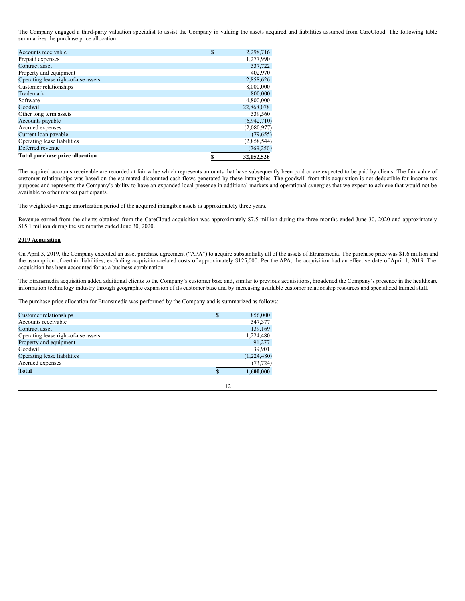The Company engaged a third-party valuation specialist to assist the Company in valuing the assets acquired and liabilities assumed from CareCloud. The following table summarizes the purchase price allocation:

| Accounts receivable                 | \$<br>2,298,716 |
|-------------------------------------|-----------------|
| Prepaid expenses                    | 1,277,990       |
| Contract asset                      | 537,722         |
| Property and equipment              | 402,970         |
| Operating lease right-of-use assets | 2,858,626       |
| Customer relationships              | 8,000,000       |
| Trademark                           | 800,000         |
| Software                            | 4,800,000       |
| Goodwill                            | 22,868,078      |
| Other long term assets              | 539,560         |
| Accounts payable                    | (6,942,710)     |
| Accrued expenses                    | (2,080,977)     |
| Current loan payable                | (79,655)        |
| Operating lease liabilities         | (2,858,544)     |
| Deferred revenue                    | (269, 250)      |
| Total purchase price allocation     | 32,152,526      |

The acquired accounts receivable are recorded at fair value which represents amounts that have subsequently been paid or are expected to be paid by clients. The fair value of customer relationships was based on the estimated discounted cash flows generated by these intangibles. The goodwill from this acquisition is not deductible for income tax purposes and represents the Company's ability to have an expanded local presence in additional markets and operational synergies that we expect to achieve that would not be available to other market participants.

The weighted-average amortization period of the acquired intangible assets is approximately three years.

Revenue earned from the clients obtained from the CareCloud acquisition was approximately \$7.5 million during the three months ended June 30, 2020 and approximately \$15.1 million during the six months ended June 30, 2020.

## **2019 Acquisition**

On April 3, 2019, the Company executed an asset purchase agreement ("APA") to acquire substantially all of the assets of Etransmedia. The purchase price was \$1.6 million and the assumption of certain liabilities, excluding acquisition-related costs of approximately \$125,000. Per the APA, the acquisition had an effective date of April 1, 2019. The acquisition has been accounted for as a business combination.

The Etransmedia acquisition added additional clients to the Company's customer base and, similar to previous acquisitions, broadened the Company's presence in the healthcare information technology industry through geographic expansion of its customer base and by increasing available customer relationship resources and specialized trained staff.

The purchase price allocation for Etransmedia was performed by the Company and is summarized as follows:

| Customer relationships              | S<br>856,000 |  |
|-------------------------------------|--------------|--|
| Accounts receivable                 | 547,377      |  |
| Contract asset                      | 139,169      |  |
| Operating lease right-of-use assets | 1,224,480    |  |
| Property and equipment              | 91,277       |  |
| Goodwill                            | 39.901       |  |
| Operating lease liabilities         | (1,224,480)  |  |
| Accrued expenses                    | (73, 724)    |  |
| Total                               | 1,600,000    |  |
|                                     |              |  |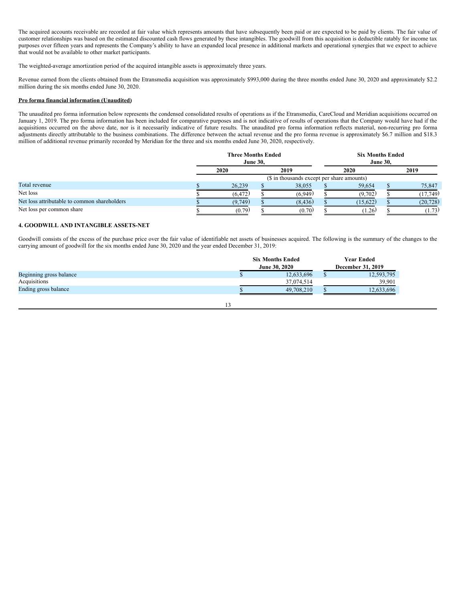The acquired accounts receivable are recorded at fair value which represents amounts that have subsequently been paid or are expected to be paid by clients. The fair value of customer relationships was based on the estimated discounted cash flows generated by these intangibles. The goodwill from this acquisition is deductible ratably for income tax purposes over fifteen years and represents the Company's ability to have an expanded local presence in additional markets and operational synergies that we expect to achieve that would not be available to other market participants.

The weighted-average amortization period of the acquired intangible assets is approximately three years.

Revenue earned from the clients obtained from the Etransmedia acquisition was approximately \$993,000 during the three months ended June 30, 2020 and approximately \$2.2 million during the six months ended June 30, 2020.

## **Pro forma financial information (Unaudited)**

The unaudited pro forma information below represents the condensed consolidated results of operations as if the Etransmedia, CareCloud and Meridian acquisitions occurred on January 1, 2019. The pro forma information has been included for comparative purposes and is not indicative of results of operations that the Company would have had if the acquisitions occurred on the above date, nor is it necessarily indicative of future results. The unaudited pro forma information reflects material, non-recurring pro forma adjustments directly attributable to the business combinations. The difference between the actual revenue and the pro forma revenue is approximately \$6.7 million and \$18.3 million of additional revenue primarily recorded by Meridian for the three and six months ended June 30, 2020, respectively.

|                                              | <b>Three Months Ended</b><br><b>June 30,</b> |  | <b>Six Months Ended</b><br><b>June 30.</b> |  |          |  |           |
|----------------------------------------------|----------------------------------------------|--|--------------------------------------------|--|----------|--|-----------|
|                                              | 2020                                         |  | 2019                                       |  | 2020     |  | 2019      |
|                                              |                                              |  | (\$ in thousands except per share amounts) |  |          |  |           |
| Total revenue                                | 26,239                                       |  | 38,055                                     |  | 59.654   |  | 75,847    |
| Net loss                                     | (6, 472)                                     |  | (6,949)                                    |  | (9,702)  |  | (17, 749) |
| Net loss attributable to common shareholders | (9,749)                                      |  | (8, 436)                                   |  | (15,622) |  | (20, 728) |
| Net loss per common share                    | (0.79)                                       |  | (0.70)                                     |  | (1.26)   |  | (1.73)    |

## **4. GOODWILL AND INTANGIBLE ASSETS-NET**

Goodwill consists of the excess of the purchase price over the fair value of identifiable net assets of businesses acquired. The following is the summary of the changes to the carrying amount of goodwill for the six months ended June 30, 2020 and the year ended December 31, 2019:

|                         |  | <b>Six Months Ended</b> |               | <b>Year Ended</b>        |
|-------------------------|--|-------------------------|---------------|--------------------------|
|                         |  |                         | June 30, 2020 | <b>December 31, 2019</b> |
| Beginning gross balance |  |                         | 12,633,696    | 12,593,795               |
| Acquisitions            |  |                         | 37,074,514    | 39,901                   |
| Ending gross balance    |  |                         | 49,708,210    | 12,633,696               |
|                         |  |                         |               |                          |
|                         |  |                         |               |                          |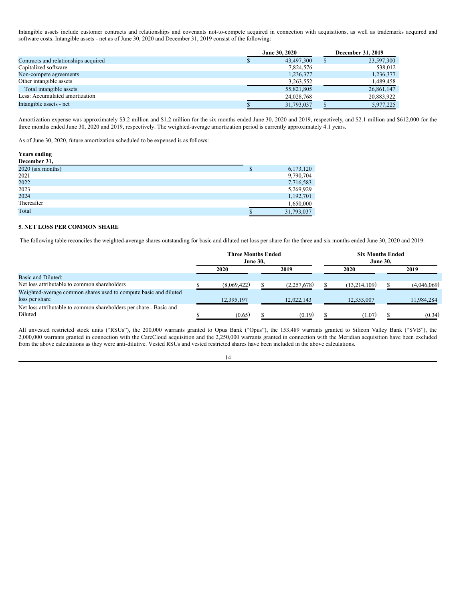Intangible assets include customer contracts and relationships and covenants not-to-compete acquired in connection with acquisitions, as well as trademarks acquired and software costs. Intangible assets - net as of June 30, 2020 and December 31, 2019 consist of the following:

|                                      | <b>June 30, 2020</b> | December 31, 2019 |
|--------------------------------------|----------------------|-------------------|
| Contracts and relationships acquired | 43,497,300           | 23,597,300        |
| Capitalized software                 | 7,824,576            | 538,012           |
| Non-compete agreements               | 1,236,377            | 1,236,377         |
| Other intangible assets              | 3,263,552            | 1,489,458         |
| Total intangible assets              | 55,821,805           | 26,861,147        |
| Less: Accumulated amortization       | 24,028,768           | 20,883,922        |
| Intangible assets - net              | 31,793,037           | 5,977,225         |

Amortization expense was approximately \$3.2 million and \$1.2 million for the six months ended June 30, 2020 and 2019, respectively, and \$2.1 million and \$612,000 for the three months ended June 30, 2020 and 2019, respectively. The weighted-average amortization period is currently approximately 4.1 years.

As of June 30, 2020, future amortization scheduled to be expensed is as follows:

| <b>Years ending</b> |        |            |
|---------------------|--------|------------|
| December 31,        |        |            |
| $2020$ (six months) | Φ      | 6,173,120  |
| 2021                |        | 9,790,704  |
| 2022                |        | 7,716,583  |
| 2023                |        | 5,269,929  |
| 2024                |        | 1,192,701  |
| Thereafter          |        | 1,650,000  |
| Total               | G<br>Φ | 31,793,037 |

## **5. NET LOSS PER COMMON SHARE**

The following table reconciles the weighted-average shares outstanding for basic and diluted net loss per share for the three and six months ended June 30, 2020 and 2019:

|                                                                    | <b>Three Months Ended</b><br><b>June 30,</b> |             | <b>Six Months Ended</b><br><b>June 30.</b> |  |              |  |             |
|--------------------------------------------------------------------|----------------------------------------------|-------------|--------------------------------------------|--|--------------|--|-------------|
|                                                                    |                                              | 2020        | 2019                                       |  | 2020         |  | 2019        |
| Basic and Diluted:                                                 |                                              |             |                                            |  |              |  |             |
| Net loss attributable to common shareholders                       |                                              | (8,069,422) | (2,257,678)                                |  | (13,214,109) |  | (4.046.069) |
| Weighted-average common shares used to compute basic and diluted   |                                              |             |                                            |  |              |  |             |
| loss per share                                                     |                                              | 12.395.197  | 12.022.143                                 |  | 12,353,007   |  | 11.984.284  |
| Net loss attributable to common shareholders per share - Basic and |                                              |             |                                            |  |              |  |             |
| Diluted                                                            |                                              | (0.65)      | (0.19)                                     |  | (1.07)       |  | (0.34)      |

All unvested restricted stock units ("RSUs"), the 200,000 warrants granted to Opus Bank ("Opus"), the 153,489 warrants granted to Silicon Valley Bank ("SVB"), the 2,000,000 warrants granted in connection with the CareCloud acquisition and the 2,250,000 warrants granted in connection with the Meridian acquisition have been excluded from the above calculations as they were anti-dilutive. Vested RSUs and vested restricted shares have been included in the above calculations.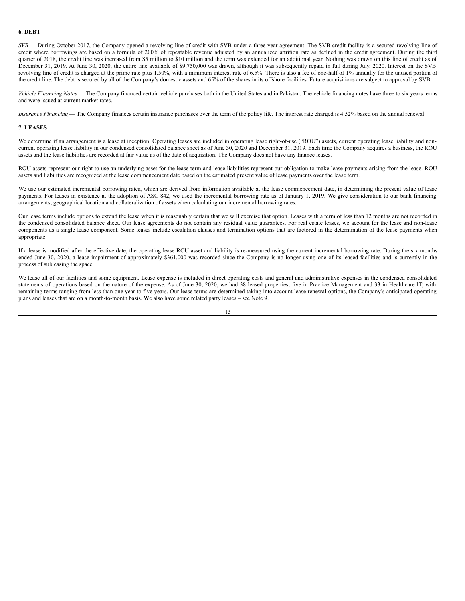#### **6. DEBT**

*SVB* — During October 2017, the Company opened a revolving line of credit with SVB under a three-year agreement. The SVB credit facility is a secured revolving line of credit where borrowings are based on a formula of 200% of repeatable revenue adjusted by an annualized attrition rate as defined in the credit agreement. During the third quarter of 2018, the credit line was increased from \$5 million to \$10 million and the term was extended for an additional year. Nothing was drawn on this line of credit as of December 31, 2019. At June 30, 2020, the entire line available of \$9,750,000 was drawn, although it was subsequently repaid in full during July, 2020. Interest on the SVB revolving line of credit is charged at the prime rate plus 1.50%, with a minimum interest rate of 6.5%. There is also a fee of one-half of 1% annually for the unused portion of the credit line. The debt is secured by all of the Company's domestic assets and 65% of the shares in its offshore facilities. Future acquisitions are subject to approval by SVB.

*Vehicle Financing Notes* — The Company financed certain vehicle purchases both in the United States and in Pakistan. The vehicle financing notes have three to six years terms and were issued at current market rates.

*Insurance Financing* — The Company finances certain insurance purchases over the term of the policy life. The interest rate charged is 4.52% based on the annual renewal.

#### **7. LEASES**

We determine if an arrangement is a lease at inception. Operating leases are included in operating lease right-of-use ("ROU") assets, current operating lease liability and noncurrent operating lease liability in our condensed consolidated balance sheet as of June 30, 2020 and December 31, 2019. Each time the Company acquires a business, the ROU assets and the lease liabilities are recorded at fair value as of the date of acquisition. The Company does not have any finance leases.

ROU assets represent our right to use an underlying asset for the lease term and lease liabilities represent our obligation to make lease payments arising from the lease. ROU assets and liabilities are recognized at the lease commencement date based on the estimated present value of lease payments over the lease term.

We use our estimated incremental borrowing rates, which are derived from information available at the lease commencement date, in determining the present value of lease payments. For leases in existence at the adoption of ASC 842, we used the incremental borrowing rate as of January 1, 2019. We give consideration to our bank financing arrangements, geographical location and collateralization of assets when calculating our incremental borrowing rates.

Our lease terms include options to extend the lease when it is reasonably certain that we will exercise that option. Leases with a term of less than 12 months are not recorded in the condensed consolidated balance sheet. Our lease agreements do not contain any residual value guarantees. For real estate leases, we account for the lease and non-lease components as a single lease component. Some leases include escalation clauses and termination options that are factored in the determination of the lease payments when appropriate.

If a lease is modified after the effective date, the operating lease ROU asset and liability is re-measured using the current incremental borrowing rate. During the six months ended June 30, 2020, a lease impairment of approximately \$361,000 was recorded since the Company is no longer using one of its leased facilities and is currently in the process of subleasing the space.

We lease all of our facilities and some equipment. Lease expense is included in direct operating costs and general and administrative expenses in the condensed consolidated statements of operations based on the nature of the expense. As of June 30, 2020, we had 38 leased properties, five in Practice Management and 33 in Healthcare IT, with remaining terms ranging from less than one year to five years. Our lease terms are determined taking into account lease renewal options, the Company's anticipated operating plans and leases that are on a month-to-month basis. We also have some related party leases – see Note 9.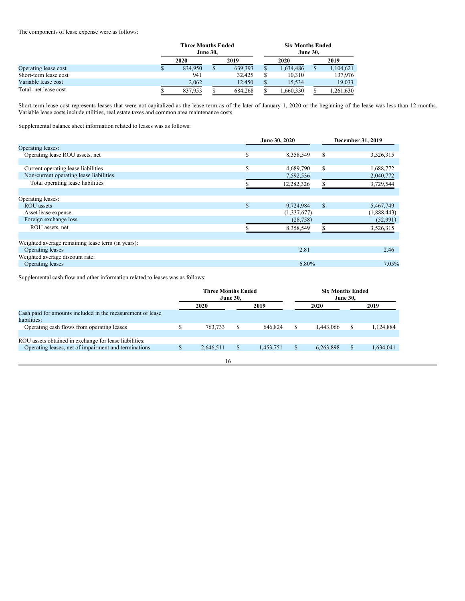The components of lease expense were as follows:

|                       | <b>Three Months Ended</b><br><b>June 30.</b> |  |         | <b>Six Months Ended</b><br><b>June 30.</b> |           |  |           |
|-----------------------|----------------------------------------------|--|---------|--------------------------------------------|-----------|--|-----------|
|                       | 2020                                         |  | 2019    |                                            | 2020      |  | 2019      |
| Operating lease cost  | 834,950                                      |  | 639.393 |                                            | 1.634.486 |  | 1,104,621 |
| Short-term lease cost | 941                                          |  | 32.425  |                                            | 10.310    |  | 137,976   |
| Variable lease cost   | 2.062                                        |  | 12.450  |                                            | 15.534    |  | 19.033    |
| Total- net lease cost | 837.953                                      |  | 684.268 |                                            | .660.330  |  | 1,261,630 |

Short-term lease cost represents leases that were not capitalized as the lease term as of the later of January 1, 2020 or the beginning of the lease was less than 12 months. Variable lease costs include utilities, real estate taxes and common area maintenance costs.

Supplemental balance sheet information related to leases was as follows:

|                                                   |    | June 30, 2020 |               | December 31, 2019 |
|---------------------------------------------------|----|---------------|---------------|-------------------|
| Operating leases:                                 |    |               |               |                   |
| Operating lease ROU assets, net                   | S  | 8,358,549     | S             | 3,526,315         |
|                                                   |    |               |               |                   |
| Current operating lease liabilities               | S  | 4,689,790     | S             | 1,688,772         |
| Non-current operating lease liabilities           |    | 7,592,536     |               | 2,040,772         |
| Total operating lease liabilities                 |    | 12,282,326    |               | 3,729,544         |
| Operating leases:                                 |    |               |               |                   |
| <b>ROU</b> assets                                 | \$ | 9,724,984     | <sup>\$</sup> | 5,467,749         |
| Asset lease expense                               |    | (1,337,677)   |               | (1,888,443)       |
| Foreign exchange loss                             |    | (28, 758)     |               | (52,991)          |
| ROU assets, net                                   |    | 8,358,549     |               | 3,526,315         |
| Weighted average remaining lease term (in years): |    |               |               |                   |
| Operating leases                                  |    | 2.81          |               | 2.46              |
| Weighted average discount rate:                   |    |               |               |                   |
| Operating leases                                  |    | 6.80%         |               | 7.05%             |

Supplemental cash flow and other information related to leases was as follows:

|                                                                                                                          | <b>Three Months Ended</b><br><b>June 30,</b> |           |  | <b>Six Months Ended</b><br><b>June 30,</b> |              |           |   |           |
|--------------------------------------------------------------------------------------------------------------------------|----------------------------------------------|-----------|--|--------------------------------------------|--------------|-----------|---|-----------|
|                                                                                                                          |                                              | 2020      |  | 2019                                       |              | 2020      |   | 2019      |
| Cash paid for amounts included in the measurement of lease<br>liabilities:<br>Operating cash flows from operating leases |                                              | 763,733   |  | 646,824                                    | S            | 1.443.066 |   | 1,124,884 |
| ROU assets obtained in exchange for lease liabilities:                                                                   |                                              |           |  |                                            |              |           |   |           |
| Operating leases, net of impairment and terminations                                                                     | D                                            | 2.646.511 |  | 1,453,751                                  | <sup>S</sup> | 6.263.898 | ъ | 1.634.041 |
|                                                                                                                          |                                              | 16        |  |                                            |              |           |   |           |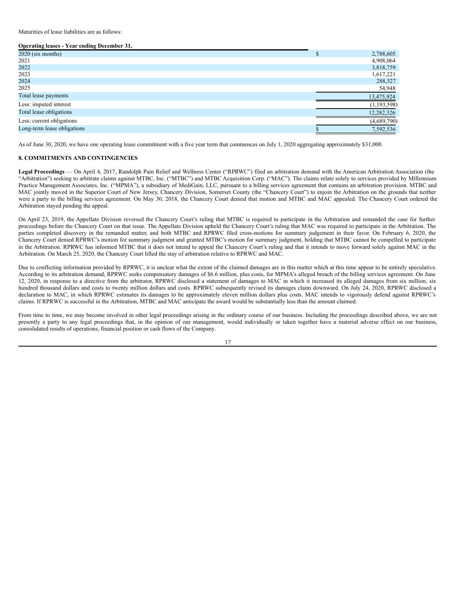Maturities of lease liabilities are as follows:

### **Operating leases - Year ending December 31,**

| 4,908,064<br>2021<br>2022<br>2023<br>1,617,221<br>2024<br>288,327<br>2025<br>54,948<br>Total lease payments<br>13,475,924<br>Less: imputed interest<br>Total lease obligations<br>12,282,326<br>Less: current obligations | 2020 (six months) | 2,788,605     |
|---------------------------------------------------------------------------------------------------------------------------------------------------------------------------------------------------------------------------|-------------------|---------------|
|                                                                                                                                                                                                                           |                   |               |
|                                                                                                                                                                                                                           |                   |               |
|                                                                                                                                                                                                                           |                   | 3,818,759     |
|                                                                                                                                                                                                                           |                   |               |
|                                                                                                                                                                                                                           |                   |               |
|                                                                                                                                                                                                                           |                   |               |
|                                                                                                                                                                                                                           |                   |               |
|                                                                                                                                                                                                                           |                   | (1, 193, 598) |
|                                                                                                                                                                                                                           |                   |               |
|                                                                                                                                                                                                                           |                   | (4,689,790)   |
| Long-term lease obligations                                                                                                                                                                                               |                   | 7,592,536     |

As of June 30, 2020, we have one operating lease commitment with a five year term that commences on July 1, 2020 aggregating approximately \$31,000.

#### **8. COMMITMENTS AND CONTINGENCIES**

**Legal Proceedings** — On April 4, 2017, Randolph Pain Relief and Wellness Center ("RPRWC") filed an arbitration demand with the American Arbitration Association (the "Arbitration") seeking to arbitrate claims against MTBC, Inc. ("MTBC") and MTBC Acquisition Corp. ("MAC"). The claims relate solely to services provided by Millennium Practice Management Associates, Inc. ("MPMA"), a subsidiary of MediGain, LLC, pursuant to a billing services agreement that contains an arbitration provision. MTBC and MAC jointly moved in the Superior Court of New Jersey, Chancery Division, Somerset County (the "Chancery Court") to enjoin the Arbitration on the grounds that neither were a party to the billing services agreement. On May 30, 2018, the Chancery Court denied that motion and MTBC and MAC appealed. The Chancery Court ordered the Arbitration stayed pending the appeal.

On April 23, 2019, the Appellate Division reversed the Chancery Court's ruling that MTBC is required to participate in the Arbitration and remanded the case for further proceedings before the Chancery Court on that issue. The Appellate Division upheld the Chancery Court's ruling that MAC was required to participate in the Arbitration. The parties completed discovery in the remanded matter, and both MTBC and RPRWC filed cross-motions for summary judgement in their favor. On February 6, 2020, the Chancery Court denied RPRWC's motion for summary judgment and granted MTBC's motion for summary judgment, holding that MTBC cannot be compelled to participate in the Arbitration. RPRWC has informed MTBC that it does not intend to appeal the Chancery Court's ruling and that it intends to move forward solely against MAC in the Arbitration. On March 25, 2020, the Chancery Court lifted the stay of arbitration relative to RPRWC and MAC.

Due to conflicting information provided by RPRWC, it is unclear what the extent of the claimed damages are in this matter which at this time appear to be entirely speculative. According to its arbitration demand, RPRWC seeks compensatory damages of \$6.6 million, plus costs, for MPMA's alleged breach of the billing services agreement. On June 12, 2020, in response to a directive from the arbitrator, RPRWC disclosed a statement of damages to MAC in which it increased its alleged damages from six million, six hundred thousand dollars and costs to twenty million dollars and costs. RPRWC subsequently revised its damages claim downward. On July 24, 2020, RPRWC disclosed a declaration to MAC, in which RPRWC estimates its damages to be approximately eleven million dollars plus costs. MAC intends to vigorously defend against RPRWC's claims. If RPRWC is successful in the Arbitration, MTBC and MAC anticipate the award would be substantially less than the amount claimed.

From time to time, we may become involved in other legal proceedings arising in the ordinary course of our business. Including the proceedings described above, we are not presently a party to any legal proceedings that, in the opinion of our management, would individually or taken together have a material adverse effect on our business, consolidated results of operations, financial position or cash flows of the Company.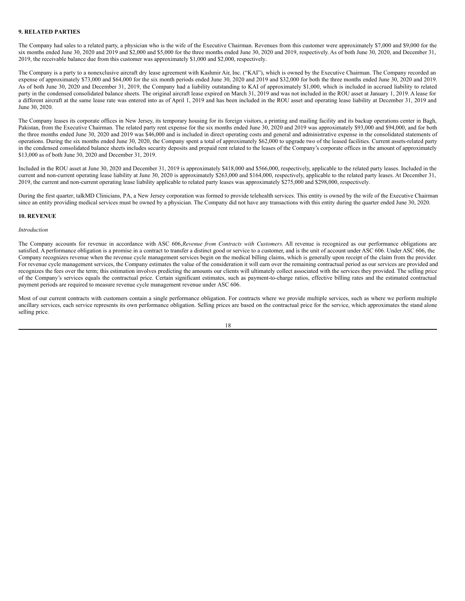### **9. RELATED PARTIES**

The Company had sales to a related party, a physician who is the wife of the Executive Chairman. Revenues from this customer were approximately \$7,000 and \$9,000 for the six months ended June 30, 2020 and 2019 and \$2,000 and \$5,000 for the three months ended June 30, 2020 and 2019, respectively. As of both June 30, 2020, and December 31, 2019, the receivable balance due from this customer was approximately \$1,000 and \$2,000, respectively.

The Company is a party to a nonexclusive aircraft dry lease agreement with Kashmir Air, Inc. ("KAI"), which is owned by the Executive Chairman. The Company recorded an expense of approximately \$73,000 and \$64,000 for the six month periods ended June 30, 2020 and 2019 and \$32,000 for both the three months ended June 30, 2020 and 2019. As of both June 30, 2020 and December 31, 2019, the Company had a liability outstanding to KAI of approximately \$1,000, which is included in accrued liability to related party in the condensed consolidated balance sheets. The original aircraft lease expired on March 31, 2019 and was not included in the ROU asset at January 1, 2019. A lease for a different aircraft at the same lease rate was entered into as of April 1, 2019 and has been included in the ROU asset and operating lease liability at December 31, 2019 and June 30, 2020.

The Company leases its corporate offices in New Jersey, its temporary housing for its foreign visitors, a printing and mailing facility and its backup operations center in Bagh, Pakistan, from the Executive Chairman. The related party rent expense for the six months ended June 30, 2020 and 2019 was approximately \$93,000 and \$94,000, and for both the three months ended June 30, 2020 and 2019 was \$46,000 and is included in direct operating costs and general and administrative expense in the consolidated statements of operations. During the six months ended June 30, 2020, the Company spent a total of approximately \$62,000 to upgrade two of the leased facilities. Current assets-related party in the condensed consolidated balance sheets includes security deposits and prepaid rent related to the leases of the Company's corporate offices in the amount of approximately \$13,000 as of both June 30, 2020 and December 31, 2019.

Included in the ROU asset at June 30, 2020 and December 31, 2019 is approximately \$418,000 and \$566,000, respectively, applicable to the related party leases. Included in the current and non-current operating lease liability at June 30, 2020 is approximately \$263,000 and \$164,000, respectively, applicable to the related party leases. At December 31, 2019, the current and non-current operating lease liability applicable to related party leases was approximately \$275,000 and \$298,000, respectively.

During the first quarter, talkMD Clinicians, PA, a New Jersey corporation was formed to provide telehealth services. This entity is owned by the wife of the Executive Chairman since an entity providing medical services must be owned by a physician. The Company did not have any transactions with this entity during the quarter ended June 30, 2020.

## **10. REVENUE**

#### *Introduction*

The Company accounts for revenue in accordance with ASC 606,*Revenue from Contracts with Customers*. All revenue is recognized as our performance obligations are satisfied. A performance obligation is a promise in a contract to transfer a distinct good or service to a customer, and is the unit of account under ASC 606. Under ASC 606, the Company recognizes revenue when the revenue cycle management services begin on the medical billing claims, which is generally upon receipt of the claim from the provider. For revenue cycle management services, the Company estimates the value of the consideration it will earn over the remaining contractual period as our services are provided and recognizes the fees over the term; this estimation involves predicting the amounts our clients will ultimately collect associated with the services they provided. The selling price of the Company's services equals the contractual price. Certain significant estimates, such as payment-to-charge ratios, effective billing rates and the estimated contractual payment periods are required to measure revenue cycle management revenue under ASC 606.

Most of our current contracts with customers contain a single performance obligation. For contracts where we provide multiple services, such as where we perform multiple ancillary services, each service represents its own performance obligation. Selling prices are based on the contractual price for the service, which approximates the stand alone selling price.

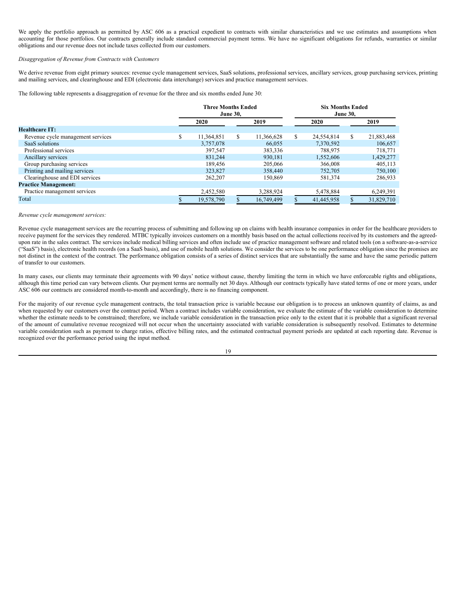We apply the portfolio approach as permitted by ASC 606 as a practical expedient to contracts with similar characteristics and we use estimates and assumptions when accounting for those portfolios. Our contracts generally include standard commercial payment terms. We have no significant obligations for refunds, warranties or similar obligations and our revenue does not include taxes collected from our customers.

#### *Disaggregation of Revenue from Contracts with Customers*

We derive revenue from eight primary sources: revenue cycle management services, SaaS solutions, professional services, ancillary services, group purchasing services, printing and mailing services, and clearinghouse and EDI (electronic data interchange) services and practice management services.

The following table represents a disaggregation of revenue for the three and six months ended June 30:

|                                   |   | <b>Three Months Ended</b><br><b>June 30.</b> |   |            | <b>Six Months Ended</b><br><b>June 30.</b> |            |   |            |
|-----------------------------------|---|----------------------------------------------|---|------------|--------------------------------------------|------------|---|------------|
|                                   |   | 2020                                         |   | 2019       |                                            | 2020       |   | 2019       |
| <b>Healthcare IT:</b>             |   |                                              |   |            |                                            |            |   |            |
| Revenue cycle management services | S | 11,364,851                                   | S | 11,366,628 | S                                          | 24,554,814 | S | 21,883,468 |
| SaaS solutions                    |   | 3,757,078                                    |   | 66,055     |                                            | 7,370,592  |   | 106,657    |
| Professional services             |   | 397.547                                      |   | 383,336    |                                            | 788,975    |   | 718,771    |
| Ancillary services                |   | 831.244                                      |   | 930.181    |                                            | 1.552.606  |   | 1,429,277  |
| Group purchasing services         |   | 189.456                                      |   | 205,066    |                                            | 366,008    |   | 405,113    |
| Printing and mailing services     |   | 323,827                                      |   | 358,440    |                                            | 752,705    |   | 750,100    |
| Clearinghouse and EDI services    |   | 262,207                                      |   | 150,869    |                                            | 581,374    |   | 286,933    |
| <b>Practice Management:</b>       |   |                                              |   |            |                                            |            |   |            |
| Practice management services      |   | 2,452,580                                    |   | 3,288,924  |                                            | 5,478,884  |   | 6,249,391  |
| Total                             |   | 19,578,790                                   |   | 16,749,499 |                                            | 41,445,958 |   | 31,829,710 |

#### *Revenue cycle management services:*

Revenue cycle management services are the recurring process of submitting and following up on claims with health insurance companies in order for the healthcare providers to receive payment for the services they rendered. MTBC typically invoices customers on a monthly basis based on the actual collections received by its customers and the agreedupon rate in the sales contract. The services include medical billing services and often include use of practice management software and related tools (on a software-as-a-service ("SaaS") basis), electronic health records (on a SaaS basis), and use of mobile health solutions. We consider the services to be one performance obligation since the promises are not distinct in the context of the contract. The performance obligation consists of a series of distinct services that are substantially the same and have the same periodic pattern of transfer to our customers.

In many cases, our clients may terminate their agreements with 90 days' notice without cause, thereby limiting the term in which we have enforceable rights and obligations, although this time period can vary between clients. Our payment terms are normally net 30 days. Although our contracts typically have stated terms of one or more years, under ASC 606 our contracts are considered month-to-month and accordingly, there is no financing component.

For the majority of our revenue cycle management contracts, the total transaction price is variable because our obligation is to process an unknown quantity of claims, as and when requested by our customers over the contract period. When a contract includes variable consideration, we evaluate the estimate of the variable consideration to determine whether the estimate needs to be constrained; therefore, we include variable consideration in the transaction price only to the extent that it is probable that a significant reversal of the amount of cumulative revenue recognized will not occur when the uncertainty associated with variable consideration is subsequently resolved. Estimates to determine variable consideration such as payment to charge ratios, effective billing rates, and the estimated contractual payment periods are updated at each reporting date. Revenue is recognized over the performance period using the input method.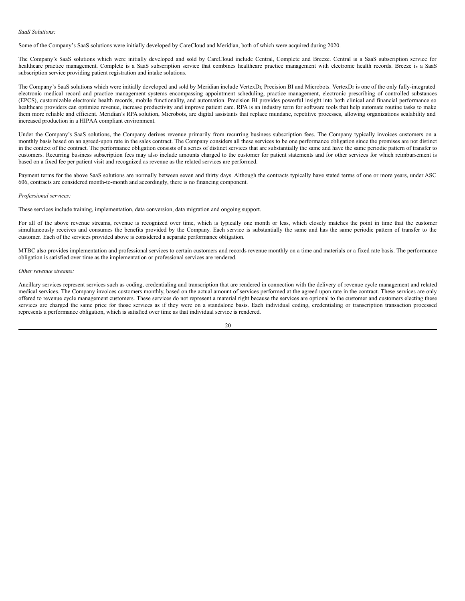#### *SaaS Solutions:*

Some of the Company's SaaS solutions were initially developed by CareCloud and Meridian, both of which were acquired during 2020.

The Company's SaaS solutions which were initially developed and sold by CareCloud include Central, Complete and Breeze. Central is a SaaS subscription service for healthcare practice management. Complete is a SaaS subscription service that combines healthcare practice management with electronic health records. Breeze is a SaaS subscription service providing patient registration and intake solutions.

The Company's SaaS solutions which were initially developed and sold by Meridian include VertexDr, Precision BI and Microbots. VertexDr is one of the only fully-integrated electronic medical record and practice management systems encompassing appointment scheduling, practice management, electronic prescribing of controlled substances (EPCS), customizable electronic health records, mobile functionality, and automation. Precision BI provides powerful insight into both clinical and financial performance so healthcare providers can optimize revenue, increase productivity and improve patient care. RPA is an industry term for software tools that help automate routine tasks to make them more reliable and efficient. Meridian's RPA solution, Microbots, are digital assistants that replace mundane, repetitive processes, allowing organizations scalability and increased production in a HIPAA compliant environment.

Under the Company's SaaS solutions, the Company derives revenue primarily from recurring business subscription fees. The Company typically invoices customers on a monthly basis based on an agreed-upon rate in the sales contract. The Company considers all these services to be one performance obligation since the promises are not distinct in the context of the contract. The performance obligation consists of a series of distinct services that are substantially the same and have the same periodic pattern of transfer to customers. Recurring business subscription fees may also include amounts charged to the customer for patient statements and for other services for which reimbursement is based on a fixed fee per patient visit and recognized as revenue as the related services are performed.

Payment terms for the above SaaS solutions are normally between seven and thirty days. Although the contracts typically have stated terms of one or more years, under ASC 606, contracts are considered month-to-month and accordingly, there is no financing component.

## *Professional services:*

These services include training, implementation, data conversion, data migration and ongoing support.

For all of the above revenue streams, revenue is recognized over time, which is typically one month or less, which closely matches the point in time that the customer simultaneously receives and consumes the benefits provided by the Company. Each service is substantially the same and has the same periodic pattern of transfer to the customer. Each of the services provided above is considered a separate performance obligation.

MTBC also provides implementation and professional services to certain customers and records revenue monthly on a time and materials or a fixed rate basis. The performance obligation is satisfied over time as the implementation or professional services are rendered.

#### *Other revenue streams:*

Ancillary services represent services such as coding, credentialing and transcription that are rendered in connection with the delivery of revenue cycle management and related medical services. The Company invoices customers monthly, based on the actual amount of services performed at the agreed upon rate in the contract. These services are only offered to revenue cycle management customers. These services do not represent a material right because the services are optional to the customer and customers electing these services are charged the same price for those services as if they were on a standalone basis. Each individual coding, credentialing or transcription transaction processed represents a performance obligation, which is satisfied over time as that individual service is rendered.

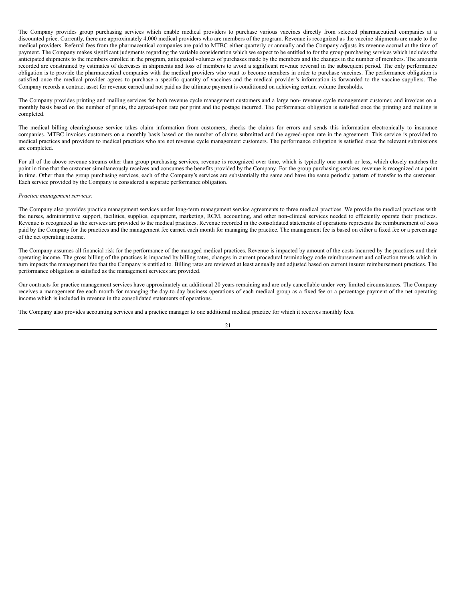The Company provides group purchasing services which enable medical providers to purchase various vaccines directly from selected pharmaceutical companies at a discounted price. Currently, there are approximately 4,000 medical providers who are members of the program. Revenue is recognized as the vaccine shipments are made to the medical providers. Referral fees from the pharmaceutical companies are paid to MTBC either quarterly or annually and the Company adjusts its revenue accrual at the time of payment. The Company makes significant judgments regarding the variable consideration which we expect to be entitled to for the group purchasing services which includes the anticipated shipments to the members enrolled in the program, anticipated volumes of purchases made by the members and the changes in the number of members. The amounts recorded are constrained by estimates of decreases in shipments and loss of members to avoid a significant revenue reversal in the subsequent period. The only performance obligation is to provide the pharmaceutical companies with the medical providers who want to become members in order to purchase vaccines. The performance obligation is satisfied once the medical provider agrees to purchase a specific quantity of vaccines and the medical provider's information is forwarded to the vaccine suppliers. The Company records a contract asset for revenue earned and not paid as the ultimate payment is conditioned on achieving certain volume thresholds.

The Company provides printing and mailing services for both revenue cycle management customers and a large non- revenue cycle management customer, and invoices on a monthly basis based on the number of prints, the agreed-upon rate per print and the postage incurred. The performance obligation is satisfied once the printing and mailing is completed.

The medical billing clearinghouse service takes claim information from customers, checks the claims for errors and sends this information electronically to insurance companies. MTBC invoices customers on a monthly basis based on the number of claims submitted and the agreed-upon rate in the agreement. This service is provided to medical practices and providers to medical practices who are not revenue cycle management customers. The performance obligation is satisfied once the relevant submissions are completed.

For all of the above revenue streams other than group purchasing services, revenue is recognized over time, which is typically one month or less, which closely matches the point in time that the customer simultaneously receives and consumes the benefits provided by the Company. For the group purchasing services, revenue is recognized at a point in time. Other than the group purchasing services, each of the Company's services are substantially the same and have the same periodic pattern of transfer to the customer. Each service provided by the Company is considered a separate performance obligation.

## *Practice management services:*

The Company also provides practice management services under long-term management service agreements to three medical practices. We provide the medical practices with the nurses, administrative support, facilities, supplies, equipment, marketing, RCM, accounting, and other non-clinical services needed to efficiently operate their practices. Revenue is recognized as the services are provided to the medical practices. Revenue recorded in the consolidated statements of operations represents the reimbursement of costs paid by the Company for the practices and the management fee earned each month for managing the practice. The management fee is based on either a fixed fee or a percentage of the net operating income.

The Company assumes all financial risk for the performance of the managed medical practices. Revenue is impacted by amount of the costs incurred by the practices and their operating income. The gross billing of the practices is impacted by billing rates, changes in current procedural terminology code reimbursement and collection trends which in turn impacts the management fee that the Company is entitled to. Billing rates are reviewed at least annually and adjusted based on current insurer reimbursement practices. The performance obligation is satisfied as the management services are provided.

Our contracts for practice management services have approximately an additional 20 years remaining and are only cancellable under very limited circumstances. The Company receives a management fee each month for managing the day-to-day business operations of each medical group as a fixed fee or a percentage payment of the net operating income which is included in revenue in the consolidated statements of operations.

The Company also provides accounting services and a practice manager to one additional medical practice for which it receives monthly fees.

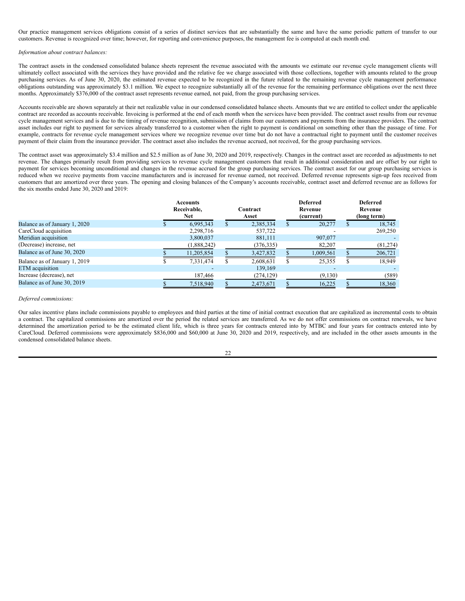Our practice management services obligations consist of a series of distinct services that are substantially the same and have the same periodic pattern of transfer to our customers. Revenue is recognized over time; however, for reporting and convenience purposes, the management fee is computed at each month end.

## *Information about contract balances:*

The contract assets in the condensed consolidated balance sheets represent the revenue associated with the amounts we estimate our revenue cycle management clients will ultimately collect associated with the services they have provided and the relative fee we charge associated with those collections, together with amounts related to the group purchasing services. As of June 30, 2020, the estimated revenue expected to be recognized in the future related to the remaining revenue cycle management performance obligations outstanding was approximately \$3.1 million. We expect to recognize substantially all of the revenue for the remaining performance obligations over the next three months. Approximately \$376,000 of the contract asset represents revenue earned, not paid, from the group purchasing services.

Accounts receivable are shown separately at their net realizable value in our condensed consolidated balance sheets. Amounts that we are entitled to collect under the applicable contract are recorded as accounts receivable. Invoicing is performed at the end of each month when the services have been provided. The contract asset results from our revenue cycle management services and is due to the timing of revenue recognition, submission of claims from our customers and payments from the insurance providers. The contract asset includes our right to payment for services already transferred to a customer when the right to payment is conditional on something other than the passage of time. For example, contracts for revenue cycle management services where we recognize revenue over time but do not have a contractual right to payment until the customer receives payment of their claim from the insurance provider. The contract asset also includes the revenue accrued, not received, for the group purchasing services.

The contract asset was approximately \$3.4 million and \$2.5 million as of June 30, 2020 and 2019, respectively. Changes in the contract asset are recorded as adjustments to net revenue. The changes primarily result from providing services to revenue cycle management customers that result in additional consideration and are offset by our right to payment for services becoming unconditional and changes in the revenue accrued for the group purchasing services. The contract asset for our group purchasing services is reduced when we receive payments from vaccine manufacturers and is increased for revenue earned, not received. Deferred revenue represents sign-up fees received from customers that are amortized over three years. The opening and closing balances of the Company's accounts receivable, contract asset and deferred revenue are as follows for the six months ended June 30, 2020 and 2019:

|                               | <b>Accounts</b><br>Receivable,<br>Contract<br><b>Net</b><br>Asset |             |  | <b>Deferred</b><br>Revenue<br>(current) | <b>Deferred</b><br>Revenue<br>(long term) |  |           |
|-------------------------------|-------------------------------------------------------------------|-------------|--|-----------------------------------------|-------------------------------------------|--|-----------|
| Balance as of January 1, 2020 |                                                                   | 6.995.343   |  | 2,385,334                               | 20,277                                    |  | 18,745    |
| CareCloud acquisition         |                                                                   | 2,298,716   |  | 537,722                                 |                                           |  | 269,250   |
| Meridian acquisition          |                                                                   | 3,800,037   |  | 881.111                                 | 907,077                                   |  |           |
| (Decrease) increase, net      |                                                                   | (1,888,242) |  | (376, 335)                              | 82,207                                    |  | (81, 274) |
| Balance as of June 30, 2020   |                                                                   | 11,205,854  |  | 3,427,832                               | 1,009,561                                 |  | 206,721   |
| Balance as of January 1, 2019 |                                                                   | 7,331,474   |  | 2,608,631                               | 25,355                                    |  | 18.949    |
| ETM acquisition               |                                                                   |             |  | 139,169                                 |                                           |  |           |
| Increase (decrease), net      |                                                                   | 187,466     |  | (274, 129)                              | (9,130)                                   |  | (589)     |
| Balance as of June 30, 2019   |                                                                   | 7,518,940   |  | 2,473,671                               | 16,225                                    |  | 18,360    |

#### *Deferred commissions:*

Our sales incentive plans include commissions payable to employees and third parties at the time of initial contract execution that are capitalized as incremental costs to obtain a contract. The capitalized commissions are amortized over the period the related services are transferred. As we do not offer commissions on contract renewals, we have determined the amortization period to be the estimated client life, which is three years for contracts entered into by MTBC and four years for contracts entered into by CareCloud. Deferred commissions were approximately \$836,000 and \$60,000 at June 30, 2020 and 2019, respectively, and are included in the other assets amounts in the condensed consolidated balance sheets.

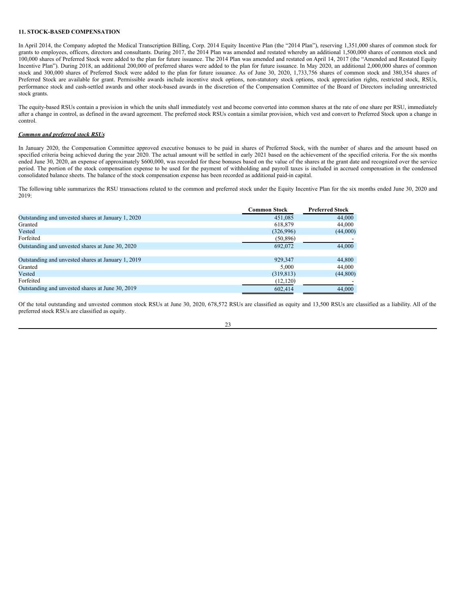#### **11. STOCK-BASED COMPENSATION**

In April 2014, the Company adopted the Medical Transcription Billing, Corp. 2014 Equity Incentive Plan (the "2014 Plan"), reserving 1,351,000 shares of common stock for grants to employees, officers, directors and consultants. During 2017, the 2014 Plan was amended and restated whereby an additional 1,500,000 shares of common stock and 100,000 shares of Preferred Stock were added to the plan for future issuance. The 2014 Plan was amended and restated on April 14, 2017 (the "Amended and Restated Equity Incentive Plan"). During 2018, an additional 200,000 of preferred shares were added to the plan for future issuance. In May 2020, an additional 2,000,000 shares of common stock and 300,000 shares of Preferred Stock were added to the plan for future issuance. As of June 30, 2020, 1,733,756 shares of common stock and 380,354 shares of Preferred Stock are available for grant. Permissible awards include incentive stock options, non-statutory stock options, stock appreciation rights, restricted stock, RSUs, performance stock and cash-settled awards and other stock-based awards in the discretion of the Compensation Committee of the Board of Directors including unrestricted stock grants.

The equity-based RSUs contain a provision in which the units shall immediately vest and become converted into common shares at the rate of one share per RSU, immediately after a change in control, as defined in the award agreement. The preferred stock RSUs contain a similar provision, which vest and convert to Preferred Stock upon a change in control.

## *Common and preferred stock RSUs*

In January 2020, the Compensation Committee approved executive bonuses to be paid in shares of Preferred Stock, with the number of shares and the amount based on specified criteria being achieved during the year 2020. The actual amount will be settled in early 2021 based on the achievement of the specified criteria. For the six months ended June 30, 2020, an expense of approximately \$600,000, was recorded for these bonuses based on the value of the shares at the grant date and recognized over the service period. The portion of the stock compensation expense to be used for the payment of withholding and payroll taxes is included in accrued compensation in the condensed consolidated balance sheets. The balance of the stock compensation expense has been recorded as additional paid-in capital.

The following table summarizes the RSU transactions related to the common and preferred stock under the Equity Incentive Plan for the six months ended June 30, 2020 and 2019:

|                                                    | <b>Common Stock</b> | <b>Preferred Stock</b> |
|----------------------------------------------------|---------------------|------------------------|
| Outstanding and unvested shares at January 1, 2020 | 451,085             | 44,000                 |
| Granted                                            | 618,879             | 44,000                 |
| Vested                                             | (326,996)           | (44,000)               |
| Forfeited                                          | (50, 896)           |                        |
| Outstanding and unvested shares at June 30, 2020   | 692,072             | 44,000                 |
| Outstanding and unvested shares at January 1, 2019 | 929.347             | 44,800                 |
| Granted                                            | 5.000               | 44,000                 |
| Vested                                             | (319, 813)          | (44,800)               |
| Forfeited                                          | (12, 120)           |                        |
| Outstanding and unvested shares at June 30, 2019   | 602,414             | 44,000                 |

Of the total outstanding and unvested common stock RSUs at June 30, 2020, 678,572 RSUs are classified as equity and 13,500 RSUs are classified as a liability. All of the preferred stock RSUs are classified as equity.

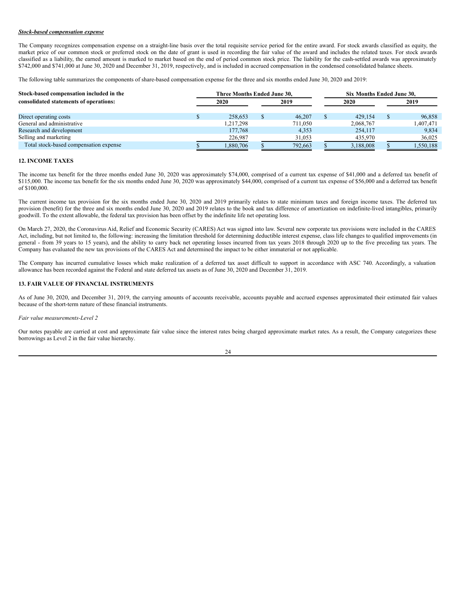## *Stock-based compensation expense*

The Company recognizes compensation expense on a straight-line basis over the total requisite service period for the entire award. For stock awards classified as equity, the market price of our common stock or preferred stock on the date of grant is used in recording the fair value of the award and includes the related taxes. For stock awards classified as a liability, the earned amount is marked to market based on the end of period common stock price. The liability for the cash-settled awards was approximately \$742,000 and \$741,000 at June 30, 2020 and December 31, 2019, respectively, and is included in accrued compensation in the condensed consolidated balance sheets.

The following table summarizes the components of share-based compensation expense for the three and six months ended June 30, 2020 and 2019:

| Stock-based compensation included in the |      | Three Months Ended June 30, |  |         |  |           | Six Months Ended June 30. |           |  |  |
|------------------------------------------|------|-----------------------------|--|---------|--|-----------|---------------------------|-----------|--|--|
| consolidated statements of operations:   | 2020 |                             |  | 2019    |  | 2020      |                           | 2019      |  |  |
| Direct operating costs                   |      | 258,653                     |  | 46,207  |  | 429,154   |                           | 96,858    |  |  |
| General and administrative               |      | 1,217,298                   |  | 711.050 |  | 2,068,767 |                           | 1,407,471 |  |  |
| Research and development                 |      | 177,768                     |  | 4.353   |  | 254,117   |                           | 9,834     |  |  |
| Selling and marketing                    |      | 226,987                     |  | 31,053  |  | 435,970   |                           | 36,025    |  |  |
| Total stock-based compensation expense   |      | 1.880.706                   |  | 792,663 |  | 3,188,008 |                           | 1,550,188 |  |  |

#### **12. INCOME TAXES**

The income tax benefit for the three months ended June 30, 2020 was approximately \$74,000, comprised of a current tax expense of \$41,000 and a deferred tax benefit of \$115,000. The income tax benefit for the six months ended June 30, 2020 was approximately \$44,000, comprised of a current tax expense of \$56,000 and a deferred tax benefit of \$100,000.

The current income tax provision for the six months ended June 30, 2020 and 2019 primarily relates to state minimum taxes and foreign income taxes. The deferred tax provision (benefit) for the three and six months ended June 30, 2020 and 2019 relates to the book and tax difference of amortization on indefinite-lived intangibles, primarily goodwill. To the extent allowable, the federal tax provision has been offset by the indefinite life net operating loss.

On March 27, 2020, the Coronavirus Aid, Relief and Economic Security (CARES) Act was signed into law. Several new corporate tax provisions were included in the CARES Act, including, but not limited to, the following: increasing the limitation threshold for determining deductible interest expense, class life changes to qualified improvements (in general - from 39 years to 15 years), and the ability to carry back net operating losses incurred from tax years 2018 through 2020 up to the five preceding tax years. The Company has evaluated the new tax provisions of the CARES Act and determined the impact to be either immaterial or not applicable.

The Company has incurred cumulative losses which make realization of a deferred tax asset difficult to support in accordance with ASC 740. Accordingly, a valuation allowance has been recorded against the Federal and state deferred tax assets as of June 30, 2020 and December 31, 2019.

## **13. FAIR VALUE OF FINANCIAL INSTRUMENTS**

As of June 30, 2020, and December 31, 2019, the carrying amounts of accounts receivable, accounts payable and accrued expenses approximated their estimated fair values because of the short-term nature of these financial instruments.

#### *Fair value measurements-Level 2*

Our notes payable are carried at cost and approximate fair value since the interest rates being charged approximate market rates. As a result, the Company categorizes these borrowings as Level 2 in the fair value hierarchy.

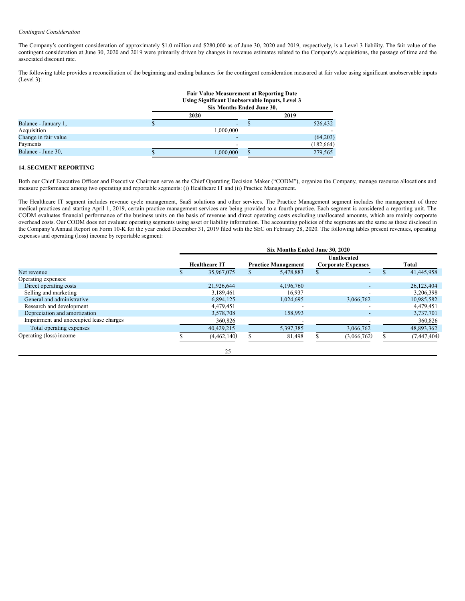#### *Contingent Consideration*

The Company's contingent consideration of approximately \$1.0 million and \$280,000 as of June 30, 2020 and 2019, respectively, is a Level 3 liability. The fair value of the contingent consideration at June 30, 2020 and 2019 were primarily driven by changes in revenue estimates related to the Company's acquisitions, the passage of time and the associated discount rate.

The following table provides a reconciliation of the beginning and ending balances for the contingent consideration measured at fair value using significant unobservable inputs (Level 3):

|                      | <b>Fair Value Measurement at Reporting Date</b><br>Using Significant Unobservable Inputs, Level 3 |      |            |  |  |  |  |  |  |  |
|----------------------|---------------------------------------------------------------------------------------------------|------|------------|--|--|--|--|--|--|--|
|                      | Six Months Ended June 30,                                                                         |      |            |  |  |  |  |  |  |  |
|                      | 2020                                                                                              | 2019 |            |  |  |  |  |  |  |  |
| Balance - January 1, | -                                                                                                 |      | 526,432    |  |  |  |  |  |  |  |
| Acquisition          | 1,000,000                                                                                         |      |            |  |  |  |  |  |  |  |
| Change in fair value |                                                                                                   |      | (64,203)   |  |  |  |  |  |  |  |
| Payments             |                                                                                                   |      | (182, 664) |  |  |  |  |  |  |  |
| Balance - June 30,   | 1.000.000                                                                                         |      | 279.565    |  |  |  |  |  |  |  |

## **14. SEGMENT REPORTING**

Both our Chief Executive Officer and Executive Chairman serve as the Chief Operating Decision Maker ("CODM"), organize the Company, manage resource allocations and measure performance among two operating and reportable segments: (i) Healthcare IT and (ii) Practice Management.

The Healthcare IT segment includes revenue cycle management, SaaS solutions and other services. The Practice Management segment includes the management of three medical practices and starting April 1, 2019, certain practice management services are being provided to a fourth practice. Each segment is considered a reporting unit. The CODM evaluates financial performance of the business units on the basis of revenue and direct operating costs excluding unallocated amounts, which are mainly corporate overhead costs. Our CODM does not evaluate operating segments using asset or liability information. The accounting policies of the segments are the same as those disclosed in the Company's Annual Report on Form 10-K for the year ended December 31, 2019 filed with the SEC on February 28, 2020. The following tables present revenues, operating expenses and operating (loss) income by reportable segment:

|                                         | Six Months Ended June 30, 2020 |  |                            |  |                                                 |  |             |  |  |  |  |
|-----------------------------------------|--------------------------------|--|----------------------------|--|-------------------------------------------------|--|-------------|--|--|--|--|
|                                         | <b>Healthcare IT</b>           |  | <b>Practice Management</b> |  | <b>Unallocated</b><br><b>Corporate Expenses</b> |  | Total       |  |  |  |  |
| Net revenue                             | 35,967,075                     |  | 5,478,883                  |  | $\overline{\phantom{0}}$                        |  | 41,445,958  |  |  |  |  |
| Operating expenses:                     |                                |  |                            |  |                                                 |  |             |  |  |  |  |
| Direct operating costs                  | 21,926,644                     |  | 4,196,760                  |  |                                                 |  | 26,123,404  |  |  |  |  |
| Selling and marketing                   | 3,189,461                      |  | 16,937                     |  | $\overline{\phantom{a}}$                        |  | 3,206,398   |  |  |  |  |
| General and administrative              | 6,894,125                      |  | 1,024,695                  |  | 3,066,762                                       |  | 10,985,582  |  |  |  |  |
| Research and development                | 4,479,451                      |  |                            |  |                                                 |  | 4,479,451   |  |  |  |  |
| Depreciation and amortization           | 3,578,708                      |  | 158,993                    |  |                                                 |  | 3,737,701   |  |  |  |  |
| Impairment and unoccupied lease charges | 360,826                        |  |                            |  |                                                 |  | 360,826     |  |  |  |  |
| Total operating expenses                | 40,429,215                     |  | 5,397,385                  |  | 3,066,762                                       |  | 48,893,362  |  |  |  |  |
| Operating (loss) income                 | (4,462,140)                    |  | 81,498                     |  | (3,066,762)                                     |  | (7,447,404) |  |  |  |  |
|                                         | 25                             |  |                            |  |                                                 |  |             |  |  |  |  |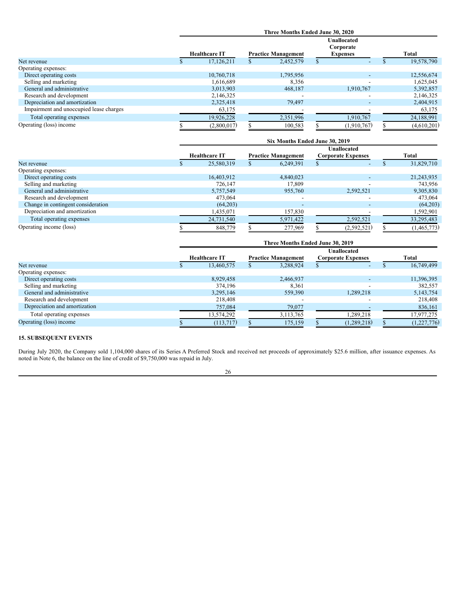|                                         |                                                    |  | Three Months Ended June 30, 2020 |  |                                                    |  |             |  |  |
|-----------------------------------------|----------------------------------------------------|--|----------------------------------|--|----------------------------------------------------|--|-------------|--|--|
|                                         | <b>Healthcare IT</b><br><b>Practice Management</b> |  |                                  |  | <b>Unallocated</b><br>Corporate<br><b>Expenses</b> |  |             |  |  |
| Net revenue                             | 17.126.211                                         |  | 2,452,579                        |  |                                                    |  | 19,578,790  |  |  |
| Operating expenses:                     |                                                    |  |                                  |  |                                                    |  |             |  |  |
| Direct operating costs                  | 10,760,718                                         |  | 1,795,956                        |  |                                                    |  | 12,556,674  |  |  |
| Selling and marketing                   | 1,616,689                                          |  | 8,356                            |  |                                                    |  | 1,625,045   |  |  |
| General and administrative              | 3,013,903                                          |  | 468.187                          |  | 1.910.767                                          |  | 5,392,857   |  |  |
| Research and development                | 2,146,325                                          |  |                                  |  |                                                    |  | 2,146,325   |  |  |
| Depreciation and amortization           | 2,325,418                                          |  | 79,497                           |  | $\overline{\phantom{a}}$                           |  | 2,404,915   |  |  |
| Impairment and unoccupied lease charges | 63,175                                             |  |                                  |  |                                                    |  | 63,175      |  |  |
| Total operating expenses                | 19,926,228                                         |  | 2,351,996                        |  | 1,910,767                                          |  | 24,188,991  |  |  |
| Operating (loss) income                 | (2,800,017)                                        |  | 100,583                          |  | (1,910,767)                                        |  | (4,610,201) |  |  |

|                                    | Six Months Ended June 30, 2019 |  |                            |  |                                                 |       |             |  |  |  |  |
|------------------------------------|--------------------------------|--|----------------------------|--|-------------------------------------------------|-------|-------------|--|--|--|--|
|                                    | <b>Healthcare IT</b>           |  | <b>Practice Management</b> |  | <b>Unallocated</b><br><b>Corporate Expenses</b> | Total |             |  |  |  |  |
| Net revenue                        | 25,580,319                     |  | 6,249,391                  |  | $\overline{\phantom{0}}$                        |       | 31,829,710  |  |  |  |  |
| Operating expenses:                |                                |  |                            |  |                                                 |       |             |  |  |  |  |
| Direct operating costs             | 16,403,912                     |  | 4,840,023                  |  |                                                 |       | 21,243,935  |  |  |  |  |
| Selling and marketing              | 726,147                        |  | 17,809                     |  |                                                 |       | 743,956     |  |  |  |  |
| General and administrative         | 5,757,549                      |  | 955,760                    |  | 2,592,521                                       |       | 9,305,830   |  |  |  |  |
| Research and development           | 473,064                        |  | $\overline{\phantom{0}}$   |  |                                                 |       | 473,064     |  |  |  |  |
| Change in contingent consideration | (64,203)                       |  | $\overline{\phantom{a}}$   |  | $\overline{\phantom{0}}$                        |       | (64,203)    |  |  |  |  |
| Depreciation and amortization      | 1,435,071                      |  | 157,830                    |  |                                                 |       | 1,592,901   |  |  |  |  |
| Total operating expenses           | 24,731,540                     |  | 5,971,422                  |  | 2,592,521                                       |       | 33,295,483  |  |  |  |  |
| Operating income (loss)            | 848,779                        |  | 277,969                    |  | (2,592,521)                                     |       | (1,465,773) |  |  |  |  |

|                               | Three Months Ended June 30, 2019 |                      |  |                            |  |                                                 |  |             |  |  |  |
|-------------------------------|----------------------------------|----------------------|--|----------------------------|--|-------------------------------------------------|--|-------------|--|--|--|
|                               |                                  | <b>Healthcare IT</b> |  | <b>Practice Management</b> |  | <b>Unallocated</b><br><b>Corporate Expenses</b> |  | Total       |  |  |  |
| Net revenue                   |                                  | 13,460,575           |  | 3,288,924                  |  |                                                 |  | 16,749,499  |  |  |  |
| Operating expenses:           |                                  |                      |  |                            |  |                                                 |  |             |  |  |  |
| Direct operating costs        |                                  | 8,929,458            |  | 2,466,937                  |  | $\overline{\phantom{a}}$                        |  | 11,396,395  |  |  |  |
| Selling and marketing         |                                  | 374,196              |  | 8,361                      |  |                                                 |  | 382,557     |  |  |  |
| General and administrative    |                                  | 3,295,146            |  | 559,390                    |  | 1.289.218                                       |  | 5,143,754   |  |  |  |
| Research and development      |                                  | 218,408              |  |                            |  |                                                 |  | 218,408     |  |  |  |
| Depreciation and amortization |                                  | 757,084              |  | 79,077                     |  |                                                 |  | 836,161     |  |  |  |
| Total operating expenses      |                                  | 13,574,292           |  | 3,113,765                  |  | .289,218                                        |  | 17,977,275  |  |  |  |
| Operating (loss) income       |                                  | (113, 717)           |  | 175,159                    |  | (1,289,218)                                     |  | (1,227,776) |  |  |  |

# **15. SUBSEQUENT EVENTS**

During July 2020, the Company sold 1,104,000 shares of its Series A Preferred Stock and received net proceeds of approximately \$25.6 million, after issuance expenses. As noted in Note 6, the balance on the line of credit of \$9,750,000 was repaid in July.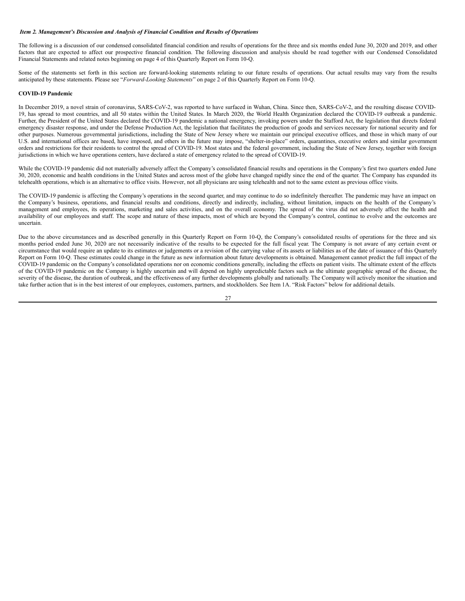## <span id="page-27-0"></span>*Item 2. Management's Discussion and Analysis of Financial Condition and Results of Operations*

The following is a discussion of our condensed consolidated financial condition and results of operations for the three and six months ended June 30, 2020 and 2019, and other factors that are expected to affect our prospective financial condition. The following discussion and analysis should be read together with our Condensed Consolidated Financial Statements and related notes beginning on page 4 of this Quarterly Report on Form 10-Q.

Some of the statements set forth in this section are forward-looking statements relating to our future results of operations. Our actual results may vary from the results anticipated by these statements. Please see "*Forward-Looking Statements*" on page 2 of this Quarterly Report on Form 10-Q.

#### **COVID-19 Pandemic**

In December 2019, a novel strain of coronavirus, SARS-CoV-2, was reported to have surfaced in Wuhan, China. Since then, SARS-CoV-2, and the resulting disease COVID-19, has spread to most countries, and all 50 states within the United States. In March 2020, the World Health Organization declared the COVID-19 outbreak a pandemic. Further, the President of the United States declared the COVID-19 pandemic a national emergency, invoking powers under the Stafford Act, the legislation that directs federal emergency disaster response, and under the Defense Production Act, the legislation that facilitates the production of goods and services necessary for national security and for other purposes. Numerous governmental jurisdictions, including the State of New Jersey where we maintain our principal executive offices, and those in which many of our U.S. and international offices are based, have imposed, and others in the future may impose, "shelter-in-place" orders, quarantines, executive orders and similar government orders and restrictions for their residents to control the spread of COVID-19. Most states and the federal government, including the State of New Jersey, together with foreign jurisdictions in which we have operations centers, have declared a state of emergency related to the spread of COVID-19.

While the COVID-19 pandemic did not materially adversely affect the Company's consolidated financial results and operations in the Company's first two quarters ended June 30, 2020, economic and health conditions in the United States and across most of the globe have changed rapidly since the end of the quarter. The Company has expanded its telehealth operations, which is an alternative to office visits. However, not all physicians are using telehealth and not to the same extent as previous office visits.

The COVID-19 pandemic is affecting the Company's operations in the second quarter, and may continue to do so indefinitely thereafter. The pandemic may have an impact on the Company's business, operations, and financial results and conditions, directly and indirectly, including, without limitation, impacts on the health of the Company's management and employees, its operations, marketing and sales activities, and on the overall economy. The spread of the virus did not adversely affect the health and availability of our employees and staff. The scope and nature of these impacts, most of which are beyond the Company's control, continue to evolve and the outcomes are uncertain.

Due to the above circumstances and as described generally in this Quarterly Report on Form 10-Q, the Company's consolidated results of operations for the three and six months period ended June 30, 2020 are not necessarily indicative of the results to be expected for the full fiscal year. The Company is not aware of any certain event or circumstance that would require an update to its estimates or judgements or a revision of the carrying value of its assets or liabilities as of the date of issuance of this Quarterly Report on Form 10-Q. These estimates could change in the future as new information about future developments is obtained. Management cannot predict the full impact of the COVID-19 pandemic on the Company's consolidated operations nor on economic conditions generally, including the effects on patient visits. The ultimate extent of the effects of the COVID-19 pandemic on the Company is highly uncertain and will depend on highly unpredictable factors such as the ultimate geographic spread of the disease, the severity of the disease, the duration of outbreak, and the effectiveness of any further developments globally and nationally. The Company will actively monitor the situation and take further action that is in the best interest of our employees, customers, partners, and stockholders. See Item 1A. "Risk Factors" below for additional details.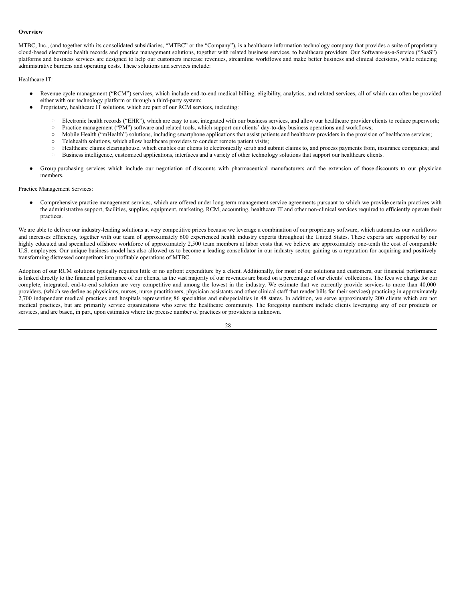#### **Overview**

MTBC, Inc., (and together with its consolidated subsidiaries, "MTBC" or the "Company"), is a healthcare information technology company that provides a suite of proprietary cloud-based electronic health records and practice management solutions, together with related business services, to healthcare providers. Our Software-as-a-Service ("SaaS") platforms and business services are designed to help our customers increase revenues, streamline workflows and make better business and clinical decisions, while reducing administrative burdens and operating costs. These solutions and services include:

Healthcare IT:

- Revenue cycle management ("RCM") services, which include end-to-end medical billing, eligibility, analytics, and related services, all of which can often be provided either with our technology platform or through a third-party system;
- Proprietary, healthcare IT solutions, which are part of our RCM services, including:
	- Electronic health records ("EHR"), which are easy to use, integrated with our business services, and allow our healthcare provider clients to reduce paperwork;
	- Practice management ("PM") software and related tools, which support our clients' day-to-day business operations and workflows;
	- Mobile Health ("mHealth") solutions, including smartphone applications that assist patients and healthcare providers in the provision of healthcare services;
	- Telehealth solutions, which allow healthcare providers to conduct remote patient visits;
	- Healthcare claims clearinghouse, which enables our clients to electronically scrub and submit claims to, and process payments from, insurance companies; and ○ Business intelligence, customized applications, interfaces and a variety of other technology solutions that support our healthcare clients.
- Group purchasing services which include our negotiation of discounts with pharmaceutical manufacturers and the extension of those discounts to our physician members.

Practice Management Services:

Comprehensive practice management services, which are offered under long-term management service agreements pursuant to which we provide certain practices with the administrative support, facilities, supplies, equipment, marketing, RCM, accounting, healthcare IT and other non-clinical services required to efficiently operate their practices.

We are able to deliver our industry-leading solutions at very competitive prices because we leverage a combination of our proprietary software, which automates our workflows and increases efficiency, together with our team of approximately 600 experienced health industry experts throughout the United States. These experts are supported by our highly educated and specialized offshore workforce of approximately 2,500 team members at labor costs that we believe are approximately one-tenth the cost of comparable U.S. employees. Our unique business model has also allowed us to become a leading consolidator in our industry sector, gaining us a reputation for acquiring and positively transforming distressed competitors into profitable operations of MTBC.

Adoption of our RCM solutions typically requires little or no upfront expenditure by a client. Additionally, for most of our solutions and customers, our financial performance is linked directly to the financial performance of our clients, as the vast majority of our revenues are based on a percentage of our clients' collections. The fees we charge for our complete, integrated, end-to-end solution are very competitive and among the lowest in the industry. We estimate that we currently provide services to more than 40,000 providers, (which we define as physicians, nurses, nurse practitioners, physician assistants and other clinical staff that render bills for their services) practicing in approximately 2,700 independent medical practices and hospitals representing 86 specialties and subspecialties in 48 states. In addition, we serve approximately 200 clients which are not medical practices, but are primarily service organizations who serve the healthcare community. The foregoing numbers include clients leveraging any of our products or services, and are based, in part, upon estimates where the precise number of practices or providers is unknown.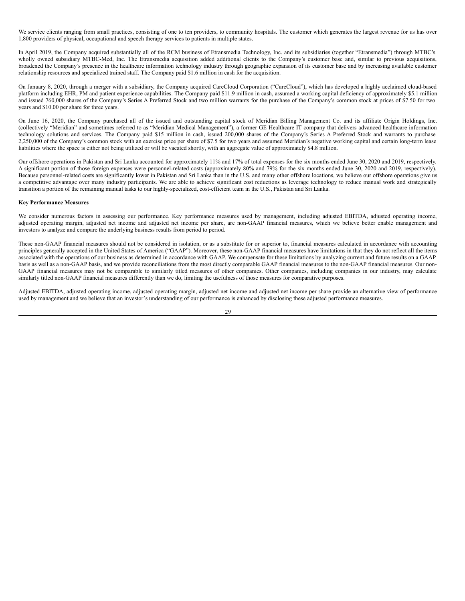We service clients ranging from small practices, consisting of one to ten providers, to community hospitals. The customer which generates the largest revenue for us has over 1,800 providers of physical, occupational and speech therapy services to patients in multiple states.

In April 2019, the Company acquired substantially all of the RCM business of Etransmedia Technology, Inc. and its subsidiaries (together "Etransmedia") through MTBC's wholly owned subsidiary MTBC-Med, Inc. The Etransmedia acquisition added additional clients to the Company's customer base and, similar to previous acquisitions, broadened the Company's presence in the healthcare information technology industry through geographic expansion of its customer base and by increasing available customer relationship resources and specialized trained staff. The Company paid \$1.6 million in cash for the acquisition.

On January 8, 2020, through a merger with a subsidiary, the Company acquired CareCloud Corporation ("CareCloud"), which has developed a highly acclaimed cloud-based platform including EHR, PM and patient experience capabilities. The Company paid \$11.9 million in cash, assumed a working capital deficiency of approximately \$5.1 million and issued 760,000 shares of the Company's Series A Preferred Stock and two million warrants for the purchase of the Company's common stock at prices of \$7.50 for two years and \$10.00 per share for three years.

On June 16, 2020, the Company purchased all of the issued and outstanding capital stock of Meridian Billing Management Co. and its affiliate Origin Holdings, Inc. (collectively "Meridian" and sometimes referred to as "Meridian Medical Management"), a former GE Healthcare IT company that delivers advanced healthcare information technology solutions and services. The Company paid \$15 million in cash, issued 200,000 shares of the Company's Series A Preferred Stock and warrants to purchase 2,250,000 of the Company's common stock with an exercise price per share of \$7.5 for two years and assumed Meridian's negative working capital and certain long-term lease liabilities where the space is either not being utilized or will be vacated shortly, with an aggregate value of approximately \$4.8 million.

Our offshore operations in Pakistan and Sri Lanka accounted for approximately 11% and 17% of total expenses for the six months ended June 30, 2020 and 2019, respectively. A significant portion of those foreign expenses were personnel-related costs (approximately 80% and 79% for the six months ended June 30, 2020 and 2019, respectively). Because personnel-related costs are significantly lower in Pakistan and Sri Lanka than in the U.S. and many other offshore locations, we believe our offshore operations give us a competitive advantage over many industry participants. We are able to achieve significant cost reductions as leverage technology to reduce manual work and strategically transition a portion of the remaining manual tasks to our highly-specialized, cost-efficient team in the U.S., Pakistan and Sri Lanka.

#### **Key Performance Measures**

We consider numerous factors in assessing our performance. Key performance measures used by management, including adjusted EBITDA, adjusted operating income, adjusted operating margin, adjusted net income and adjusted net income per share, are non-GAAP financial measures, which we believe better enable management and investors to analyze and compare the underlying business results from period to period.

These non-GAAP financial measures should not be considered in isolation, or as a substitute for or superior to, financial measures calculated in accordance with accounting principles generally accepted in the United States of America ("GAAP"). Moreover, these non-GAAP financial measures have limitations in that they do not reflect all the items associated with the operations of our business as determined in accordance with GAAP. We compensate for these limitations by analyzing current and future results on a GAAP basis as well as a non-GAAP basis, and we provide reconciliations from the most directly comparable GAAP financial measures to the non-GAAP financial measures. Our non-GAAP financial measures may not be comparable to similarly titled measures of other companies. Other companies, including companies in our industry, may calculate similarly titled non-GAAP financial measures differently than we do, limiting the usefulness of those measures for comparative purposes.

Adjusted EBITDA, adjusted operating income, adjusted operating margin, adjusted net income and adjusted net income per share provide an alternative view of performance used by management and we believe that an investor's understanding of our performance is enhanced by disclosing these adjusted performance measures.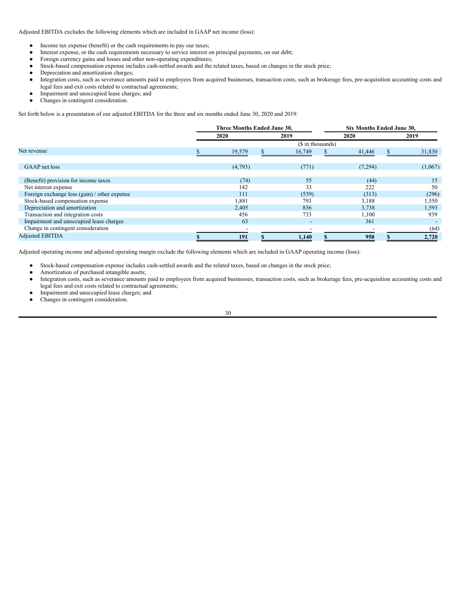Adjusted EBITDA excludes the following elements which are included in GAAP net income (loss):

- Income tax expense (benefit) or the cash requirements to pay our taxes;
- Interest expense, or the cash requirements necessary to service interest on principal payments, on our debt;
- Foreign currency gains and losses and other non-operating expenditures;
- Stock-based compensation expense includes cash-settled awards and the related taxes, based on changes in the stock price;
- Depreciation and amortization charges;
- Integration costs, such as severance amounts paid to employees from acquired businesses, transaction costs, such as brokerage fees, pre-acquisition accounting costs and legal fees and exit costs related to contractual agreements;
- Impairment and unoccupied lease charges; and
- Changes in contingent consideration.

Set forth below is a presentation of our adjusted EBITDA for the three and six months ended June 30, 2020 and 2019:

|                                              | Three Months Ended June 30, |                   |        |  |         |      | Six Months Ended June 30, |  |
|----------------------------------------------|-----------------------------|-------------------|--------|--|---------|------|---------------------------|--|
|                                              | 2020                        |                   | 2019   |  | 2020    | 2019 |                           |  |
|                                              |                             | (\$ in thousands) |        |  |         |      |                           |  |
| Net revenue                                  | 19,579                      |                   | 16,749 |  | 41,446  | \$   | 31,830                    |  |
|                                              |                             |                   |        |  |         |      |                           |  |
| GAAP net loss                                | (4,793)                     |                   | (771)  |  | (7,294) |      | (1,067)                   |  |
|                                              |                             |                   |        |  |         |      |                           |  |
| (Benefit) provision for income taxes         | (74)                        |                   | 55     |  | (44)    |      | 15                        |  |
| Net interest expense                         | 142                         |                   | 33     |  | 222     |      | 50                        |  |
| Foreign exchange loss (gain) / other expense | 111                         |                   | (539)  |  | (313)   |      | (296)                     |  |
| Stock-based compensation expense             | 1,881                       |                   | 793    |  | 3,188   |      | 1,550                     |  |
| Depreciation and amortization                | 2,405                       |                   | 836    |  | 3,738   |      | 1,593                     |  |
| Transaction and integration costs            | 456                         |                   | 733    |  | 1,100   |      | 939                       |  |
| Impairment and unoccupied lease charges      | 63                          |                   |        |  | 361     |      |                           |  |
| Change in contingent consideration           |                             |                   |        |  |         |      | (64)                      |  |
| <b>Adjusted EBITDA</b>                       | 191                         |                   | 1,140  |  | 958     |      | 2,720                     |  |

Adjusted operating income and adjusted operating margin exclude the following elements which are included in GAAP operating income (loss):

- Stock-based compensation expense includes cash-settled awards and the related taxes, based on changes in the stock price;
- Amortization of purchased intangible assets;
- Integration costs, such as severance amounts paid to employees from acquired businesses, transaction costs, such as brokerage fees, pre-acquisition accounting costs and legal fees and exit costs related to contractual agreements;
- Impairment and unoccupied lease charges; and
- Changes in contingent consideration.

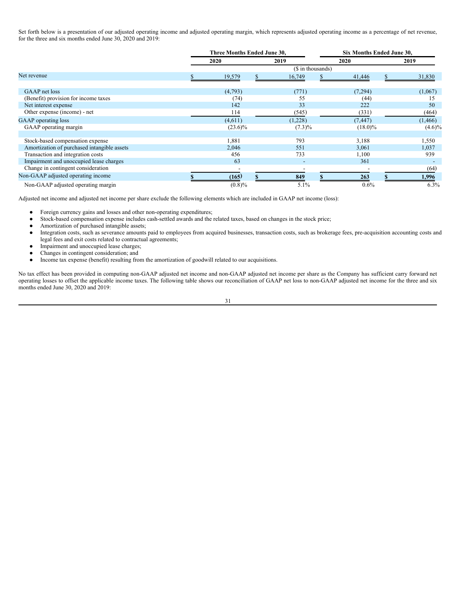Set forth below is a presentation of our adjusted operating income and adjusted operating margin, which represents adjusted operating income as a percentage of net revenue, for the three and six months ended June 30, 2020 and 2019:

|                                             | Three Months Ended June 30. |  |                   | Six Months Ended June 30, |            |    |           |
|---------------------------------------------|-----------------------------|--|-------------------|---------------------------|------------|----|-----------|
|                                             | 2020                        |  | 2019              | 2020                      |            |    | 2019      |
|                                             |                             |  | (\$ in thousands) |                           |            |    |           |
| Net revenue                                 | 19,579                      |  | 16,749            |                           | 41,446     | S. | 31,830    |
|                                             |                             |  |                   |                           |            |    |           |
| GAAP net loss                               | (4,793)                     |  | (771)             |                           | (7,294)    |    | (1,067)   |
| (Benefit) provision for income taxes        | (74)                        |  | 55                |                           | (44)       |    | 15        |
| Net interest expense                        | 142                         |  | 33                |                           | 222        |    | 50        |
| Other expense (income) - net                | 114                         |  | (545)             |                           | (331)      |    | (464)     |
| <b>GAAP</b> operating loss                  | (4,611)                     |  | (1,228)           |                           | (7, 447)   |    | (1, 466)  |
| GAAP operating margin                       | $(23.6)\%$                  |  | $(7.3)\%$         |                           | $(18.0)\%$ |    | $(4.6)\%$ |
|                                             |                             |  |                   |                           |            |    |           |
| Stock-based compensation expense            | 1,881                       |  | 793               |                           | 3,188      |    | 1,550     |
| Amortization of purchased intangible assets | 2,046                       |  | 551               |                           | 3,061      |    | 1,037     |
| Transaction and integration costs           | 456                         |  | 733               |                           | 1,100      |    | 939       |
| Impairment and unoccupied lease charges     | 63                          |  |                   |                           | 361        |    |           |
| Change in contingent consideration          |                             |  |                   |                           |            |    | (64)      |
| Non-GAAP adjusted operating income          | (165)                       |  | 849               |                           | 263        |    | 1,996     |
| Non-GAAP adjusted operating margin          | $(0.8)\%$                   |  | 5.1%              |                           | 0.6%       |    | 6.3%      |

Adjusted net income and adjusted net income per share exclude the following elements which are included in GAAP net income (loss):

- Foreign currency gains and losses and other non-operating expenditures;
- Stock-based compensation expense includes cash-settled awards and the related taxes, based on changes in the stock price;
- Amortization of purchased intangible assets;<br>• Integration costs, such as severance amounts
- Integration costs, such as severance amounts paid to employees from acquired businesses, transaction costs, such as brokerage fees, pre-acquisition accounting costs and legal fees and exit costs related to contractual agreements;
- Impairment and unoccupied lease charges;
- Changes in contingent consideration; and
- Income tax expense (benefit) resulting from the amortization of goodwill related to our acquisitions.

No tax effect has been provided in computing non-GAAP adjusted net income and non-GAAP adjusted net income per share as the Company has sufficient carry forward net operating losses to offset the applicable income taxes. The following table shows our reconciliation of GAAP net loss to non-GAAP adjusted net income for the three and six months ended June 30, 2020 and 2019: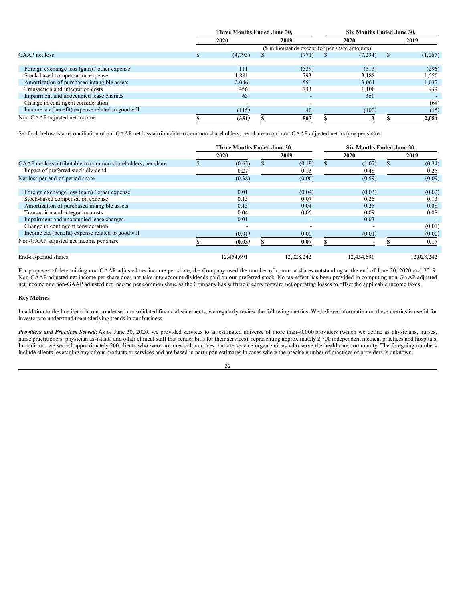|                                                  | Three Months Ended June 30, |         |  |                                                |  | Six Months Ended June 30, |   |         |
|--------------------------------------------------|-----------------------------|---------|--|------------------------------------------------|--|---------------------------|---|---------|
|                                                  | 2020                        |         |  | 2019                                           |  | 2020                      |   | 2019    |
|                                                  |                             |         |  | (\$ in thousands except for per share amounts) |  |                           |   |         |
| GAAP net loss                                    |                             | (4,793) |  | (771)                                          |  | (7,294)                   | S | (1,067) |
|                                                  |                             |         |  |                                                |  |                           |   |         |
| Foreign exchange loss (gain) / other expense     |                             | 111     |  | (539)                                          |  | (313)                     |   | (296)   |
| Stock-based compensation expense                 |                             | 1,881   |  | 793                                            |  | 3,188                     |   | 1,550   |
| Amortization of purchased intangible assets      |                             | 2.046   |  | 551                                            |  | 3,061                     |   | 1,037   |
| Transaction and integration costs                |                             | 456     |  | 733                                            |  | 1.100                     |   | 939     |
| Impairment and unoccupied lease charges          |                             | 63      |  |                                                |  | 361                       |   |         |
| Change in contingent consideration               |                             |         |  |                                                |  |                           |   | (64)    |
| Income tax (benefit) expense related to goodwill |                             | (115)   |  | 40                                             |  | (100)                     |   | (15)    |
| Non-GAAP adjusted net income                     |                             | (351)   |  | 807                                            |  |                           |   | 2.084   |

Set forth below is a reconciliation of our GAAP net loss attributable to common shareholders, per share to our non-GAAP adjusted net income per share:

|                                                              | Three Months Ended June 30. |            |  |            |  | Six Months Ended June 30, |            |  |
|--------------------------------------------------------------|-----------------------------|------------|--|------------|--|---------------------------|------------|--|
|                                                              |                             | 2020       |  | 2019       |  | 2020                      | 2019       |  |
| GAAP net loss attributable to common shareholders, per share |                             | (0.65)     |  | (0.19)     |  | (1.07)                    | (0.34)     |  |
| Impact of preferred stock dividend                           |                             | 0.27       |  | 0.13       |  | 0.48                      | 0.25       |  |
| Net loss per end-of-period share                             |                             | (0.38)     |  | (0.06)     |  | (0.59)                    | (0.09)     |  |
| Foreign exchange loss (gain) / other expense                 |                             | 0.01       |  | (0.04)     |  | (0.03)                    | (0.02)     |  |
| Stock-based compensation expense                             |                             | 0.15       |  | 0.07       |  | 0.26                      | 0.13       |  |
| Amortization of purchased intangible assets                  |                             | 0.15       |  | 0.04       |  | 0.25                      | 0.08       |  |
| Transaction and integration costs                            |                             | 0.04       |  | 0.06       |  | 0.09                      | 0.08       |  |
| Impairment and unoccupied lease charges                      |                             | 0.01       |  |            |  | 0.03                      |            |  |
| Change in contingent consideration                           |                             |            |  |            |  |                           | (0.01)     |  |
| Income tax (benefit) expense related to goodwill             |                             | (0.01)     |  | 0.00       |  | (0.01)                    | (0.00)     |  |
| Non-GAAP adjusted net income per share                       |                             | (0.03)     |  | 0.07       |  |                           | 0.17       |  |
| End-of-period shares                                         |                             | 12.454.691 |  | 12.028.242 |  | 12.454.691                | 12.028.242 |  |

For purposes of determining non-GAAP adjusted net income per share, the Company used the number of common shares outstanding at the end of June 30, 2020 and 2019. Non-GAAP adjusted net income per share does not take into account dividends paid on our preferred stock. No tax effect has been provided in computing non-GAAP adjusted net income and non-GAAP adjusted net income per common share as the Company has sufficient carry forward net operating losses to offset the applicable income taxes.

## **Key Metrics**

In addition to the line items in our condensed consolidated financial statements, we regularly review the following metrics. We believe information on these metrics is useful for investors to understand the underlying trends in our business.

*Providers and Practices Served:*As of June 30, 2020, we provided services to an estimated universe of more than40,000 providers (which we define as physicians, nurses, nurse practitioners, physician assistants and other clinical staff that render bills for their services), representing approximately 2,700 independent medical practices and hospitals. In addition, we served approximately 200 clients who were not medical practices, but are service organizations who serve the healthcare community. The foregoing numbers include clients leveraging any of our products or services and are based in part upon estimates in cases where the precise number of practices or providers is unknown.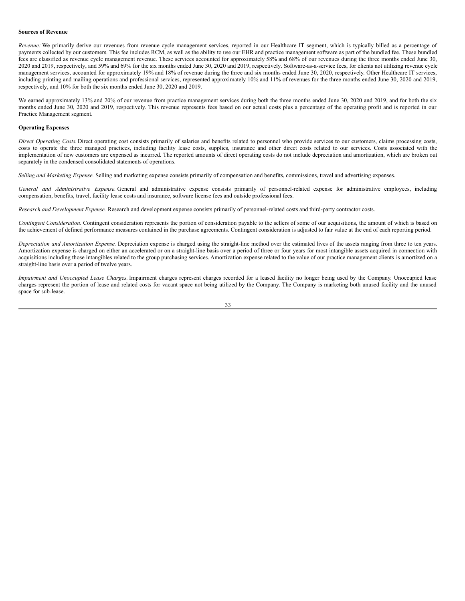#### **Sources of Revenue**

*Revenue:* We primarily derive our revenues from revenue cycle management services, reported in our Healthcare IT segment, which is typically billed as a percentage of payments collected by our customers. This fee includes RCM, as well as the ability to use our EHR and practice management software as part of the bundled fee. These bundled fees are classified as revenue cycle management revenue. These services accounted for approximately 58% and 68% of our revenues during the three months ended June 30, 2020 and 2019, respectively, and 59% and 69% for the six months ended June 30, 2020 and 2019, respectively. Software-as-a-service fees, for clients not utilizing revenue cycle management services, accounted for approximately 19% and 18% of revenue during the three and six months ended June 30, 2020, respectively. Other Healthcare IT services, including printing and mailing operations and professional services, represented approximately 10% and 11% of revenues for the three months ended June 30, 2020 and 2019, respectively, and 10% for both the six months ended June 30, 2020 and 2019.

We earned approximately 13% and 20% of our revenue from practice management services during both the three months ended June 30, 2020 and 2019, and for both the six months ended June 30, 2020 and 2019, respectively. This revenue represents fees based on our actual costs plus a percentage of the operating profit and is reported in our Practice Management segment.

#### **Operating Expenses**

*Direct Operating Costs.*Direct operating cost consists primarily of salaries and benefits related to personnel who provide services to our customers, claims processing costs, costs to operate the three managed practices, including facility lease costs, supplies, insurance and other direct costs related to our services. Costs associated with the implementation of new customers are expensed as incurred. The reported amounts of direct operating costs do not include depreciation and amortization, which are broken out separately in the condensed consolidated statements of operations.

*Selling and Marketing Expense.* Selling and marketing expense consists primarily of compensation and benefits, commissions, travel and advertising expenses.

*General and Administrative Expense.* General and administrative expense consists primarily of personnel-related expense for administrative employees, including compensation, benefits, travel, facility lease costs and insurance, software license fees and outside professional fees.

*Research and Development Expense.* Research and development expense consists primarily of personnel-related costs and third-party contractor costs.

*Contingent Consideration.* Contingent consideration represents the portion of consideration payable to the sellers of some of our acquisitions, the amount of which is based on the achievement of defined performance measures contained in the purchase agreements. Contingent consideration is adjusted to fair value at the end of each reporting period.

*Depreciation and Amortization Expense.* Depreciation expense is charged using the straight-line method over the estimated lives of the assets ranging from three to ten years. Amortization expense is charged on either an accelerated or on a straight-line basis over a period of three or four years for most intangible assets acquired in connection with acquisitions including those intangibles related to the group purchasing services. Amortization expense related to the value of our practice management clients is amortized on a straight-line basis over a period of twelve years.

*Impairment and Unoccupied Lease Charges.* Impairment charges represent charges recorded for a leased facility no longer being used by the Company. Unoccupied lease charges represent the portion of lease and related costs for vacant space not being utilized by the Company. The Company is marketing both unused facility and the unused space for sub-lease.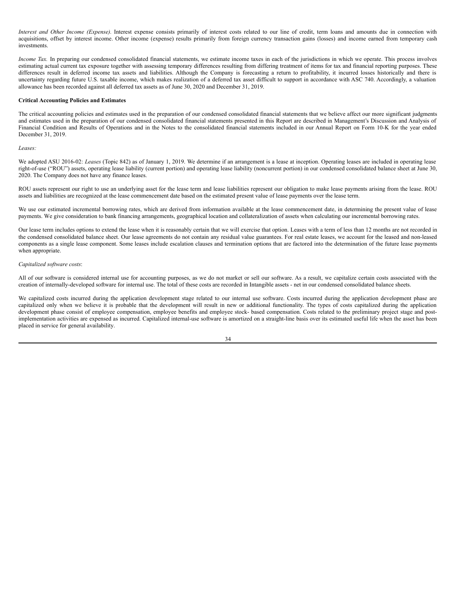*Interest and Other Income (Expense).* Interest expense consists primarily of interest costs related to our line of credit, term loans and amounts due in connection with acquisitions, offset by interest income. Other income (expense) results primarily from foreign currency transaction gains (losses) and income earned from temporary cash investments.

*Income Tax.* In preparing our condensed consolidated financial statements, we estimate income taxes in each of the jurisdictions in which we operate. This process involves estimating actual current tax exposure together with assessing temporary differences resulting from differing treatment of items for tax and financial reporting purposes. These differences result in deferred income tax assets and liabilities. Although the Company is forecasting a return to profitability, it incurred losses historically and there is uncertainty regarding future U.S. taxable income, which makes realization of a deferred tax asset difficult to support in accordance with ASC 740. Accordingly, a valuation allowance has been recorded against all deferred tax assets as of June 30, 2020 and December 31, 2019.

#### **Critical Accounting Policies and Estimates**

The critical accounting policies and estimates used in the preparation of our condensed consolidated financial statements that we believe affect our more significant judgments and estimates used in the preparation of our condensed consolidated financial statements presented in this Report are described in Management's Discussion and Analysis of Financial Condition and Results of Operations and in the Notes to the consolidated financial statements included in our Annual Report on Form 10-K for the year ended December 31, 2019.

#### *Leases:*

We adopted ASU 2016-02: Leases (Topic 842) as of January 1, 2019. We determine if an arrangement is a lease at inception. Operating leases are included in operating lease right-of-use ("ROU") assets, operating lease liability (current portion) and operating lease liability (noncurrent portion) in our condensed consolidated balance sheet at June 30, 2020. The Company does not have any finance leases.

ROU assets represent our right to use an underlying asset for the lease term and lease liabilities represent our obligation to make lease payments arising from the lease. ROU assets and liabilities are recognized at the lease commencement date based on the estimated present value of lease payments over the lease term.

We use our estimated incremental borrowing rates, which are derived from information available at the lease commencement date, in determining the present value of lease payments. We give consideration to bank financing arrangements, geographical location and collateralization of assets when calculating our incremental borrowing rates.

Our lease term includes options to extend the lease when it is reasonably certain that we will exercise that option. Leases with a term of less than 12 months are not recorded in the condensed consolidated balance sheet. Our lease agreements do not contain any residual value guarantees. For real estate leases, we account for the leased and non-leased components as a single lease component. Some leases include escalation clauses and termination options that are factored into the determination of the future lease payments when appropriate.

## *Capitalized software costs*:

All of our software is considered internal use for accounting purposes, as we do not market or sell our software. As a result, we capitalize certain costs associated with the creation of internally-developed software for internal use. The total of these costs are recorded in Intangible assets - net in our condensed consolidated balance sheets.

We capitalized costs incurred during the application development stage related to our internal use software. Costs incurred during the application development phase are capitalized only when we believe it is probable that the development will result in new or additional functionality. The types of costs capitalized during the application development phase consist of employee compensation, employee benefits and employee stock- based compensation. Costs related to the preliminary project stage and postimplementation activities are expensed as incurred. Capitalized internal-use software is amortized on a straight-line basis over its estimated useful life when the asset has been placed in service for general availability.

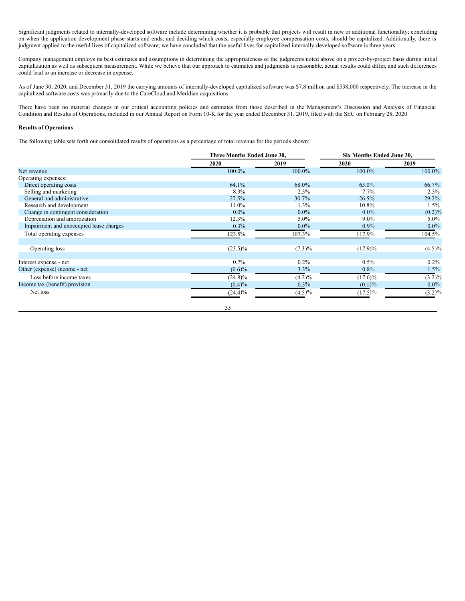Significant judgments related to internally-developed software include determining whether it is probable that projects will result in new or additional functionality; concluding on when the application development phase starts and ends; and deciding which costs, especially employee compensation costs, should be capitalized. Additionally, there is judgment applied to the useful lives of capitalized software; we have concluded that the useful lives for capitalized internally-developed software is three years.

Company management employs its best estimates and assumptions in determining the appropriateness of the judgments noted above on a project-by-project basis during initial capitalization as well as subsequent measurement. While we believe that our approach to estimates and judgments is reasonable, actual results could differ, and such differences could lead to an increase or decrease in expense.

As of June 30, 2020, and December 31, 2019 the carrying amounts of internally-developed capitalized software was \$7.8 million and \$538,000 respectively. The increase in the capitalized software costs was primarily due to the CareCloud and Meridian acquisitions.

There have been no material changes in our critical accounting policies and estimates from those described in the Management's Discussion and Analysis of Financial Condition and Results of Operations, included in our Annual Report on Form 10-K for the year ended December 31, 2019, filed with the SEC on February 28, 2020.

#### **Results of Operations**

The following table sets forth our consolidated results of operations as a percentage of total revenue for the periods shown:

|                                         | Three Months Ended June 30, |           | Six Months Ended June 30. |           |
|-----------------------------------------|-----------------------------|-----------|---------------------------|-----------|
|                                         | 2020                        | 2019      | 2020                      | 2019      |
| Net revenue                             | 100.0%                      | 100.0%    | 100.0%                    | 100.0%    |
| Operating expenses:                     |                             |           |                           |           |
| Direct operating costs                  | 64.1%                       | 68.0%     | 63.0%                     | 66.7%     |
| Selling and marketing                   | 8.3%                        | 2.3%      | 7.7%                      | 2.3%      |
| General and administrative              | 27.5%                       | 30.7%     | 26.5%                     | $29.2\%$  |
| Research and development                | 11.0%                       | 1.3%      | 10.8%                     | $1.5\%$   |
| Change in contingent consideration      | $0.0\%$                     | $0.0\%$   | $0.0\%$                   | $(0.2)\%$ |
| Depreciation and amortization           | 12.3%                       | $5.0\%$   | $9.0\%$                   | $5.0\%$   |
| Impairment and unoccupied lease charges | $0.3\%$                     | $0.0\%$   | 0.9%                      | $0.0\%$   |
| Total operating expenses                | 123.5%                      | 107.3%    | 117.9%                    | 104.5%    |
| Operating loss                          | $(23.5)\%$                  | $(7.3)\%$ | $(17.9)\%$                | $(4.5)\%$ |
| Interest expense - net                  | $0.7\%$                     | $0.2\%$   | $0.5\%$                   | $0.2\%$   |
| Other (expense) income - net            | $(0.6)\%$                   | 3.3%      | 0.8%                      | $1.5\%$   |
| Loss before income taxes                | $(24.8)\%$                  | $(4.2)\%$ | $(17.6)\%$                | $(3.2)\%$ |
| Income tax (benefit) provision          | $(0.4)\%$                   | $0.3\%$   | $(0.1)\%$                 | $0.0\%$   |
| Net loss                                | $(24.4)\%$                  | $(4.5)\%$ | $(17.5)\%$                | $(3.2)\%$ |
|                                         | 35                          |           |                           |           |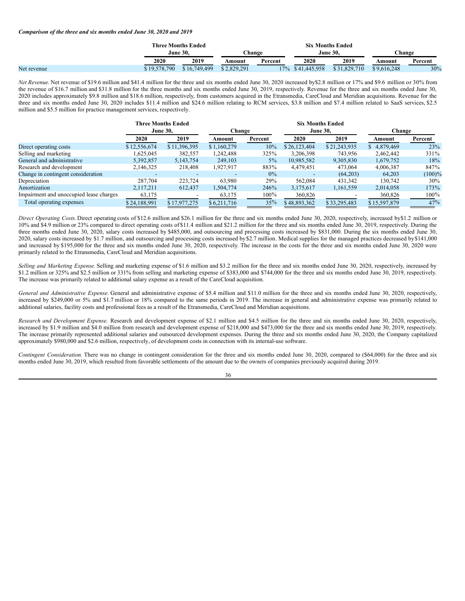#### *Comparison of the three and six months ended June 30, 2020 and 2019*

|             |              | <b>Three Months Ended</b> |               |         |              | <b>Six Months Ended</b> |               |         |
|-------------|--------------|---------------------------|---------------|---------|--------------|-------------------------|---------------|---------|
|             |              | <b>June 30.</b>           | <b>Change</b> |         |              | <b>June 30.</b>         | <b>Change</b> |         |
|             | 2020         | 2019                      | Amount        | Percent | 2020         | 2019                    | Amount        | Percent |
| Net revenue | \$19,578,790 | \$16,749,499              | \$2,829,291   | 17%     | \$41.445.958 | \$31,829,710            | \$9,616,248   | 30%     |

*Net Revenue.* Net revenue of \$19.6 million and \$41.4 million for the three and six months ended June 30, 2020 increased by\$2.8 million or 17% and \$9.6 million or 30% from the revenue of \$16.7 million and \$31.8 million for the three months and six months ended June 30, 2019, respectively. Revenue for the three and six months ended June 30, 2020 includes approximately \$9.8 million and \$18.6 million, respectively, from customers acquired in the Etransmedia, CareCloud and Meridian acquisitions. Revenue for the three and six months ended June 30, 2020 includes \$11.4 million and \$24.6 million relating to RCM services, \$3.8 million and \$7.4 million related to SaaS services, \$2.5 million and \$5.5 million for practice management services, respectively.

|                                         |              | <b>Three Months Ended</b> | <b>Six Months Ended</b> |         |              |                 |              |           |  |  |  |
|-----------------------------------------|--------------|---------------------------|-------------------------|---------|--------------|-----------------|--------------|-----------|--|--|--|
|                                         |              | <b>June 30,</b>           | Change                  |         |              | <b>June 30,</b> | Change       |           |  |  |  |
|                                         | 2020         | 2019                      | Amount                  | Percent | 2020         | 2019            | Amount       | Percent   |  |  |  |
| Direct operating costs                  | \$12,556,674 | \$11,396,395              | \$1,160,279             | 10%     | \$26,123,404 | \$21,243,935    | 4,879,469    | 23%       |  |  |  |
| Selling and marketing                   | 1,625,045    | 382,557                   | 1,242,488               | 325%    | 3.206.398    | 743,956         | 2,462,442    | 331%      |  |  |  |
| General and administrative              | 5,392,857    | 5, 143, 754               | 249,103                 | 5%      | 10.985.582   | 9,305,830       | 1,679,752    | 18%       |  |  |  |
| Research and development                | 2,146,325    | 218,408                   | 1,927,917               | 883%    | 4,479,451    | 473,064         | 4,006,387    | 847%      |  |  |  |
| Change in contingent consideration      |              |                           |                         | $0\%$   |              | (64,203)        | 64.203       | $(100)\%$ |  |  |  |
| Depreciation                            | 287,704      | 223.724                   | 63,980                  | 29%     | 562,084      | 431,342         | 130.742      | 30%       |  |  |  |
| Amortization                            | 2.117.211    | 612,437                   | 1,504,774               | 246%    | 3,175,617    | 1,161,559       | 2,014,058    | 173%      |  |  |  |
| Impairment and unoccupied lease charges | 63,175       |                           | 63,175                  | $100\%$ | 360,826      |                 | 360,826      | $100\%$   |  |  |  |
| Total operating expenses                | \$24,188,991 | \$17,977,275              | \$6,211,716             | 35%     | \$48,893,362 | \$33,295,483    | \$15,597,879 | 47%       |  |  |  |

*Direct Operating Costs.*Direct operating costs of \$12.6 million and \$26.1 million for the three and six months ended June 30, 2020, respectively, increased by\$1.2 million or 10% and \$4.9 million or 23% compared to direct operating costs of \$11.4 million and \$21.2 million for the three and six months ended June 30, 2019, respectively. During the three months ended June 30, 2020, salary costs increased by \$485,000, and outsourcing and processing costs increased by \$831,000. During the six months ended June 30, 2020, salary costs increased by \$1.7 million, and outsourcing and processing costs increased by\$2.7 million. Medical supplies for the managed practices decreased by\$141,000 and increased by \$195,000 for the three and six months ended June 30, 2020, respectively. The increase in the costs for the three and six months ended June 30, 2020 were primarily related to the Etransmedia, CareCloud and Meridian acquisitions.

*Selling and Marketing Expense.* Selling and marketing expense of \$1.6 million and \$3.2 million for the three and six months ended June 30, 2020, respectively, increased by \$1.2 million or 325% and \$2.5 million or 331% from selling and marketing expense of \$383,000 and \$744,000 for the three and six months ended June 30, 2019, respectively. The increase was primarily related to additional salary expense as a result of the CareCloud acquisition.

*General and Administrative Expense.* General and administrative expense of \$5.4 million and \$11.0 million for the three and six months ended June 30, 2020, respectively, increased by \$249,000 or 5% and \$1.7 million or 18% compared to the same periods in 2019. The increase in general and administrative expense was primarily related to additional salaries, facility costs and professional fees as a result of the Etransmedia, CareCloud and Meridian acquisitions.

*Research and Development Expense.* Research and development expense of \$2.1 million and \$4.5 million for the three and six months ended June 30, 2020, respectively, increased by \$1.9 million and \$4.0 million from research and development expense of \$218,000 and \$473,000 for the three and six months ended June 30, 2019, respectively. The increase primarily represented additional salaries and outsourced development expenses. During the three and six months ended June 30, 2020, the Company capitalized approximately \$980,000 and \$2.6 million, respectively, of development costs in connection with its internal-use software.

*Contingent Consideration.* There was no change in contingent consideration for the three and six months ended June 30, 2020, compared to (\$64,000) for the three and six months ended June 30, 2019, which resulted from favorable settlements of the amount due to the owners of companies previously acquired during 2019.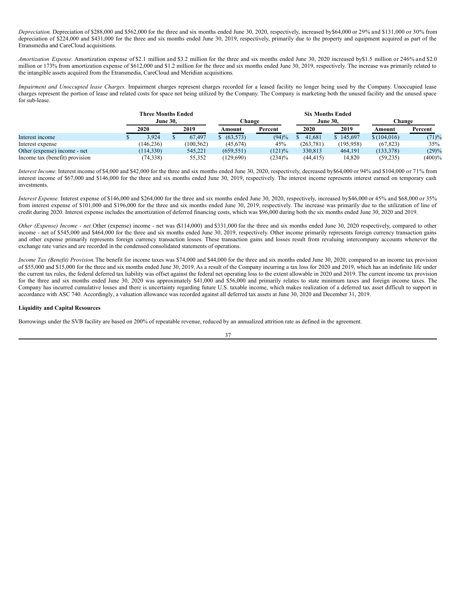*Depreciation.* Depreciation of \$288,000 and \$562,000 for the three and six months ended June 30, 2020, respectively, increased by\$64,000 or 29% and \$131,000 or 30% from depreciation of \$224,000 and \$431,000 for the three and six months ended June 30, 2019, respectively, primarily due to the property and equipment acquired as part of the Etransmedia and CareCloud acquisitions.

*Amortization Expense.* Amortization expense of \$2.1 million and \$3.2 million for the three and six months ended June 30, 2020 increased by\$1.5 million or 246% and \$2.0 million or 173% from amortization expense of \$612,000 and \$1.2 million for the three and six months ended June 30, 2019, respectively. The increase was primarily related to the intangible assets acquired from the Etransmedia, CareCloud and Meridian acquisitions.

*Impairment and Unoccupied lease Charges.* Impairment charges represent charges recorded for a leased facility no longer being used by the Company. Unoccupied lease charges represent the portion of lease and related costs for space not being utilized by the Company. The Company is marketing both the unused facility and the unused space for sub-lease.

|                                | <b>Three Months Ended</b> |                 |  |            |            |           |                 |           |               |         |
|--------------------------------|---------------------------|-----------------|--|------------|------------|-----------|-----------------|-----------|---------------|---------|
|                                |                           | <b>June 30.</b> |  |            | Change     |           | <b>June 30.</b> |           | <b>Change</b> |         |
|                                |                           | 2020            |  | 2019       | Amount     | Percent   | 2020            | 2019      | Amount        | Percent |
| Interest income                |                           | 3.924           |  | 67,497     | (63, 573)  | (94)%     | 41.681          | 145,697   | \$(104.016)   | (71)%   |
| Interest expense               |                           | (146, 236)      |  | (100, 562) | (45, 674)  | 45%       | (263, 781)      | (195.958) | (67, 823)     | 35%     |
| Other (expense) income - net   |                           | (114, 330)      |  | 545,221    | (659, 551) | $(121)\%$ | 330,813         | 464,191   | (133, 378)    | (29)%   |
| Income tax (benefit) provision |                           | (74, 338)       |  | 55,352     | (129,690)  | $(234)\%$ | (44, 415)       | 14.820    | (59, 235)     | (400)%  |

*Interest Income.* Interest income of \$4,000 and \$42,000 for the three and six months ended June 30, 2020, respectively, decreased by\$64,000 or 94% and \$104,000 or 71% from interest income of \$67,000 and \$146,000 for the three and six months ended June 30, 2019, respectively. The interest income represents interest earned on temporary cash investments.

*Interest Expense.* Interest expense of \$146,000 and \$264,000 for the three and six months ended June 30, 2020, respectively, increased by\$46,000 or 45% and \$68,000 or 35% from interest expense of \$101,000 and \$196,000 for the three and six months ended June 30, 2019, respectively. The increase was primarily due to the utilization of line of credit during 2020. Interest expense includes the amortization of deferred financing costs, which was \$96,000 during both the six months ended June 30, 2020 and 2019.

*Other (Expense) Income - net.*Other (expense) income - net was (\$114,000) and \$331,000 for the three and six months ended June 30, 2020 respectively, compared to other income - net of \$545,000 and \$464,000 for the three and six months ended June 30, 2019, respectively. Other income primarily represents foreign currency transaction gains and other expense primarily represents foreign currency transaction losses. These transaction gains and losses result from revaluing intercompany accounts whenever the exchange rate varies and are recorded in the condensed consolidated statements of operations.

*Income Tax (Benefit) Provision.*The benefit for income taxes was \$74,000 and \$44,000 for the three and six months ended June 30, 2020, compared to an income tax provision of \$55,000 and \$15,000 for the three and six months ended June 30, 2019. As a result of the Company incurring a tax loss for 2020 and 2019, which has an indefinite life under the current tax rules, the federal deferred tax liability was offset against the federal net operating loss to the extent allowable in 2020 and 2019. The current income tax provision for the three and six months ended June 30, 2020 was approximately \$41,000 and \$56,000 and primarily relates to state minimum taxes and foreign income taxes. The Company has incurred cumulative losses and there is uncertainty regarding future U.S. taxable income, which makes realization of a deferred tax asset difficult to support in accordance with ASC 740. Accordingly, a valuation allowance was recorded against all deferred tax assets at June 30, 2020 and December 31, 2019.

## **Liquidity and Capital Resources**

Borrowings under the SVB facility are based on 200% of repeatable revenue, reduced by an annualized attrition rate as defined in the agreement.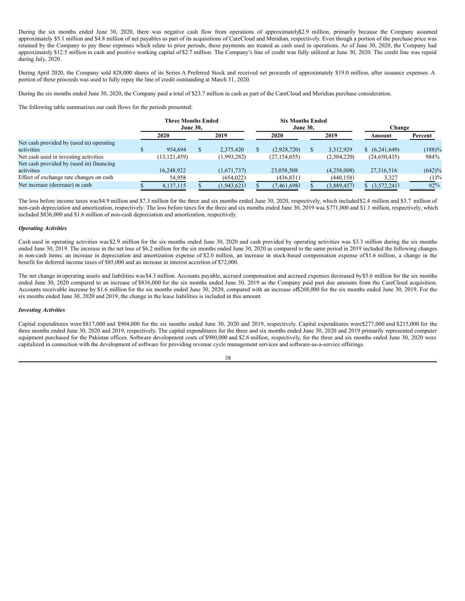During the six months ended June 30, 2020, there was negative cash flow from operations of approximately\$2.9 million, primarily because the Company assumed approximately \$5.1 million and \$4.8 million of net payables as part of its acquisitions of CareCloud and Meridian, respectively. Even though a portion of the purchase price was retained by the Company to pay these expenses which relate to prior periods, these payments are treated as cash used in operations. As of June 30, 2020, the Company had approximately \$12.5 million in cash and positive working capital of \$2.7 million. The Company's line of credit was fully utilized at June 30, 2020. The credit line was repaid during July, 2020.

During April 2020, the Company sold 828,000 shares of its Series A Preferred Stock and received net proceeds of approximately \$19.0 million, after issuance expenses. A portion of these proceeds was used to fully repay the line of credit outstanding at March 31, 2020.

During the six months ended June 30, 2020, the Company paid a total of \$23.7 million in cash as part of the CareCloud and Meridian purchase consideration.

The following table summarizes our cash flows for the periods presented:

|                                          | <b>Three Months Ended</b><br><b>June 30.</b> |  |             |  | <b>Six Months Ended</b><br><b>June 30.</b> |             | Change         |           |
|------------------------------------------|----------------------------------------------|--|-------------|--|--------------------------------------------|-------------|----------------|-----------|
|                                          | 2020                                         |  | 2019        |  | 2020                                       | 2019        | Amount         | Percent   |
| Net cash provided by (used in) operating |                                              |  |             |  |                                            |             |                |           |
| activities                               | 954.694                                      |  | 2.375.420   |  | (2,928,720)                                | 3.312.929   | \$ (6,241,649) | $(188)\%$ |
| Net cash used in investing activities    | (13, 121, 459)                               |  | (1,993,282) |  | (27, 154, 655)                             | (2,504,220) | (24,650,435)   | 984%      |
| Net cash provided by (used in) financing |                                              |  |             |  |                                            |             |                |           |
| activities                               | 16.248.922                                   |  | (1,671,737) |  | 23,058,508                                 | (4,258,008) | 27.316.516     | $(642)\%$ |
| Effect of exchange rate changes on cash  | 54,958                                       |  | (654, 022)  |  | (436, 831)                                 | (440, 158)  | 3,327          | (1)%      |
| Net increase (decrease) in cash          | 4.137.115                                    |  | (1,943,621) |  | (7, 461, 698)                              | (3,889,457) | \$ (3,572,241) | $92\%$    |

The loss before income taxes was \$4.9 million and \$7.3 million for the three and six months ended June 30, 2020, respectively, which included \$2.4 million and \$3.7 million of non-cash depreciation and amortization, respectively. The loss before taxes for the three and six months ended June 30, 2019 was \$771,000 and \$1.1 million, respectively, which included \$836,000 and \$1.6 million of non-cash depreciation and amortization, respectively.

#### *Operating Activities*

Cash used in operating activities was \$2.9 million for the six months ended June 30, 2020 and cash provided by operating activities was \$3.3 million during the six months ended June 30, 2019. The increase in the net loss of \$6.2 million for the six months ended June 30, 2020 as compared to the same period in 2019 included the following changes in non-cash items: an increase in depreciation and amortization expense of \$2.0 million, an increase in stock-based compensation expense of \$1.6 million, a change in the benefit for deferred income taxes of \$85,000 and an increase in interest accretion of \$72,000.

The net change in operating assets and liabilities was\$4.3 million. Accounts payable, accrued compensation and accrued expenses decreased by\$5.6 million for the six months ended June 30, 2020 compared to an increase of \$836,000 for the six months ended June 30, 2019 as the Company paid past due amounts from the CareCloud acquisition. Accounts receivable increase by \$1.6 million for the six months ended June 30, 2020, compared with an increase of\$268,000 for the six months ended June 30, 2019. For the six months ended June 30, 2020 and 2019, the change in the lease liabilities is included in this amount.

#### *Investing Activities*

Capital expenditures were \$817,000 and \$904,000 for the six months ended June 30, 2020 and 2019, respectively. Capital expenditures were\$277,000 and \$215,000 for the three months ended June 30, 2020 and 2019, respectively. The capital expenditures for the three and six months ended June 30, 2020 and 2019 primarily represented computer equipment purchased for the Pakistan offices. Software development costs of \$980,000 and \$2.6 million, respectively, for the three and six months ended June 30, 2020 were capitalized in connection with the development of software for providing revenue cycle management services and software-as-a-service offerings.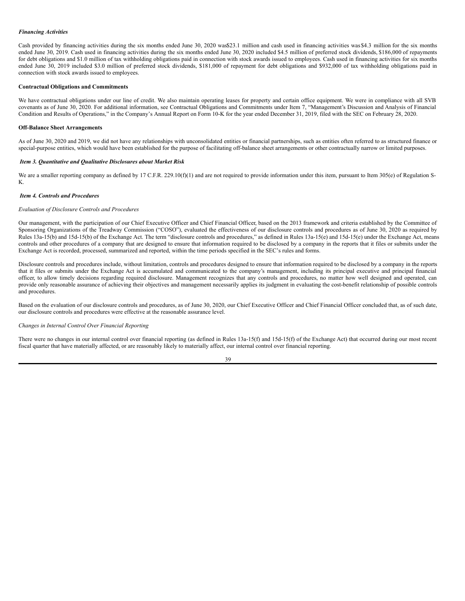#### *Financing Activities*

Cash provided by financing activities during the six months ended June 30, 2020 was\$23.1 million and cash used in financing activities was\$4.3 million for the six months ended June 30, 2019. Cash used in financing activities during the six months ended June 30, 2020 included \$4.5 million of preferred stock dividends, \$186,000 of repayments for debt obligations and \$1.0 million of tax withholding obligations paid in connection with stock awards issued to employees. Cash used in financing activities for six months ended June 30, 2019 included \$3.0 million of preferred stock dividends, \$181,000 of repayment for debt obligations and \$932,000 of tax withholding obligations paid in connection with stock awards issued to employees.

#### **Contractual Obligations and Commitments**

We have contractual obligations under our line of credit. We also maintain operating leases for property and certain office equipment. We were in compliance with all SVB covenants as of June 30, 2020. For additional information, see Contractual Obligations and Commitments under Item 7, "Management's Discussion and Analysis of Financial Condition and Results of Operations," in the Company's Annual Report on Form 10-K for the year ended December 31, 2019, filed with the SEC on February 28, 2020.

#### **Off-Balance Sheet Arrangements**

As of June 30, 2020 and 2019, we did not have any relationships with unconsolidated entities or financial partnerships, such as entities often referred to as structured finance or special-purpose entities, which would have been established for the purpose of facilitating off-balance sheet arrangements or other contractually narrow or limited purposes.

### <span id="page-39-0"></span>*Item 3. Quantitative and Qualitative Disclosures about Market Risk*

We are a smaller reporting company as defined by 17 C.F.R. 229.10(f)(1) and are not required to provide information under this item, pursuant to Item 305(e) of Regulation S-K.

## <span id="page-39-1"></span>*Item 4. Controls and Procedures*

#### *Evaluation of Disclosure Controls and Procedures*

Our management, with the participation of our Chief Executive Officer and Chief Financial Officer, based on the 2013 framework and criteria established by the Committee of Sponsoring Organizations of the Treadway Commission ("COSO"), evaluated the effectiveness of our disclosure controls and procedures as of June 30, 2020 as required by Rules 13a-15(b) and 15d-15(b) of the Exchange Act. The term "disclosure controls and procedures," as defined in Rules 13a-15(e) and 15d-15(e) under the Exchange Act, means controls and other procedures of a company that are designed to ensure that information required to be disclosed by a company in the reports that it files or submits under the Exchange Act is recorded, processed, summarized and reported, within the time periods specified in the SEC's rules and forms.

Disclosure controls and procedures include, without limitation, controls and procedures designed to ensure that information required to be disclosed by a company in the reports that it files or submits under the Exchange Act is accumulated and communicated to the company's management, including its principal executive and principal financial officer, to allow timely decisions regarding required disclosure. Management recognizes that any controls and procedures, no matter how well designed and operated, can provide only reasonable assurance of achieving their objectives and management necessarily applies its judgment in evaluating the cost-benefit relationship of possible controls and procedures.

Based on the evaluation of our disclosure controls and procedures, as of June 30, 2020, our Chief Executive Officer and Chief Financial Officer concluded that, as of such date, our disclosure controls and procedures were effective at the reasonable assurance level.

#### *Changes in Internal Control Over Financial Reporting*

There were no changes in our internal control over financial reporting (as defined in Rules 13a-15(f) and 15d-15(f) of the Exchange Act) that occurred during our most recent fiscal quarter that have materially affected, or are reasonably likely to materially affect, our internal control over financial reporting.

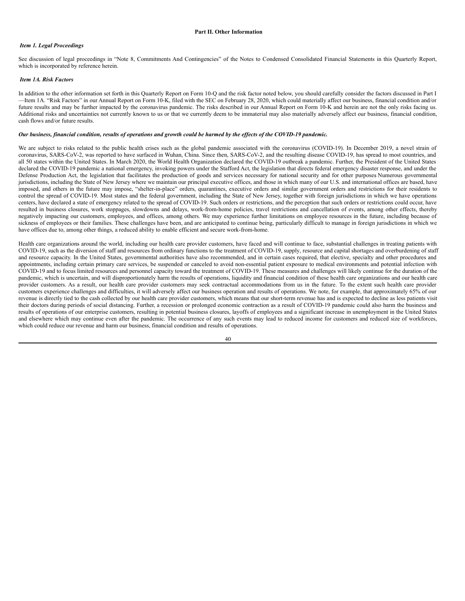## <span id="page-40-1"></span><span id="page-40-0"></span>*Item 1. Legal Proceedings*

See discussion of legal proceedings in "Note 8, Commitments And Contingencies" of the Notes to Condensed Consolidated Financial Statements in this Quarterly Report, which is incorporated by reference herein.

## <span id="page-40-2"></span>*Item 1A. Risk Factors*

In addition to the other information set forth in this Quarterly Report on Form 10-Q and the risk factor noted below, you should carefully consider the factors discussed in Part I —Item 1A. "Risk Factors" in our Annual Report on Form 10-K, filed with the SEC on February 28, 2020, which could materially affect our business, financial condition and/or future results and may be further impacted by the coronavirus pandemic. The risks described in our Annual Report on Form 10-K and herein are not the only risks facing us. Additional risks and uncertainties not currently known to us or that we currently deem to be immaterial may also materially adversely affect our business, financial condition, cash flows and/or future results.

#### Our business, financial condition, results of operations and growth could be harmed by the effects of the COVID-19 pandemic.

We are subject to risks related to the public health crises such as the global pandemic associated with the coronavirus (COVID-19). In December 2019, a novel strain of coronavirus, SARS-CoV-2, was reported to have surfaced in Wuhan, China. Since then, SARS-CoV-2, and the resulting disease COVID-19, has spread to most countries, and all 50 states within the United States. In March 2020, the World Health Organization declared the COVID-19 outbreak a pandemic. Further, the President of the United States declared the COVID-19 pandemic a national emergency, invoking powers under the Stafford Act, the legislation that directs federal emergency disaster response, and under the Defense Production Act, the legislation that facilitates the production of goods and services necessary for national security and for other purposes. Numerous governmental jurisdictions, including the State of New Jersey where we maintain our principal executive offices, and those in which many of our U.S. and international offices are based, have imposed, and others in the future may impose, "shelter-in-place" orders, quarantines, executive orders and similar government orders and restrictions for their residents to control the spread of COVID-19. Most states and the federal government, including the State of New Jersey, together with foreign jurisdictions in which we have operations centers, have declared a state of emergency related to the spread of COVID-19. Such orders or restrictions, and the perception that such orders or restrictions could occur, have resulted in business closures, work stoppages, slowdowns and delays, work-from-home policies, travel restrictions and cancellation of events, among other effects, thereby negatively impacting our customers, employees, and offices, among others. We may experience further limitations on employee resources in the future, including because of sickness of employees or their families. These challenges have been, and are anticipated to continue being, particularly difficult to manage in foreign jurisdictions in which we have offices due to, among other things, a reduced ability to enable efficient and secure work-from-home.

Health care organizations around the world, including our health care provider customers, have faced and will continue to face, substantial challenges in treating patients with COVID-19, such as the diversion of staff and resources from ordinary functions to the treatment of COVID-19, supply, resource and capital shortages and overburdening of staff and resource capacity. In the United States, governmental authorities have also recommended, and in certain cases required, that elective, specialty and other procedures and appointments, including certain primary care services, be suspended or canceled to avoid non-essential patient exposure to medical environments and potential infection with COVID-19 and to focus limited resources and personnel capacity toward the treatment of COVID-19. These measures and challenges will likely continue for the duration of the pandemic, which is uncertain, and will disproportionately harm the results of operations, liquidity and financial condition of these health care organizations and our health care provider customers. As a result, our health care provider customers may seek contractual accommodations from us in the future. To the extent such health care provider customers experience challenges and difficulties, it will adversely affect our business operation and results of operations. We note, for example, that approximately 65% of our revenue is directly tied to the cash collected by our health care provider customers, which means that our short-term revenue has and is expected to decline as less patients visit their doctors during periods of social distancing. Further, a recession or prolonged economic contraction as a result of COVID-19 pandemic could also harm the business and results of operations of our enterprise customers, resulting in potential business closures, layoffs of employees and a significant increase in unemployment in the United States and elsewhere which may continue even after the pandemic. The occurrence of any such events may lead to reduced income for customers and reduced size of workforces, which could reduce our revenue and harm our business, financial condition and results of operations.

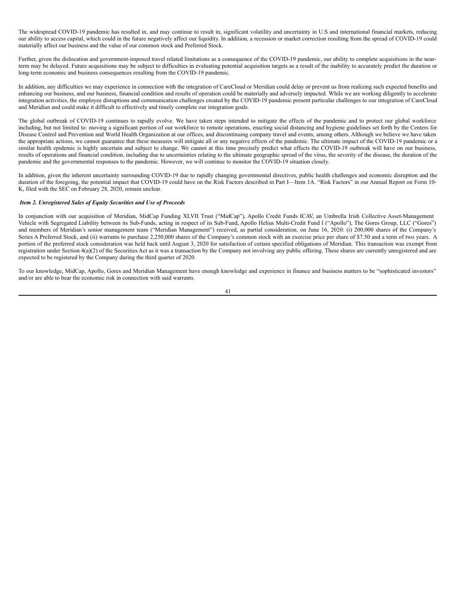The widespread COVID-19 pandemic has resulted in, and may continue to result in, significant volatility and uncertainty in U.S and international financial markets, reducing our ability to access capital, which could in the future negatively affect our liquidity. In addition, a recession or market correction resulting from the spread of COVID-19 could materially affect our business and the value of our common stock and Preferred Stock.

Further, given the dislocation and government-imposed travel related limitations as a consequence of the COVID-19 pandemic, our ability to complete acquisitions in the nearterm may be delayed. Future acquisitions may be subject to difficulties in evaluating potential acquisition targets as a result of the inability to accurately predict the duration or long-term economic and business consequences resulting from the COVID-19 pandemic.

In addition, any difficulties we may experience in connection with the integration of CareCloud or Meridian could delay or prevent us from realizing such expected benefits and enhancing our business, and our business, financial condition and results of operation could be materially and adversely impacted. While we are working diligently to accelerate integration activities, the employee disruptions and communication challenges created by the COVID-19 pandemic present particular challenges to our integration of CareCloud and Meridian and could make it difficult to effectively and timely complete our integration goals.

The global outbreak of COVID-19 continues to rapidly evolve. We have taken steps intended to mitigate the effects of the pandemic and to protect our global workforce including, but not limited to: moving a significant portion of our workforce to remote operations, enacting social distancing and hygiene guidelines set forth by the Centers for Disease Control and Prevention and World Health Organization at our offices, and discontinuing company travel and events, among others. Although we believe we have taken the appropriate actions, we cannot guarantee that these measures will mitigate all or any negative effects of the pandemic. The ultimate impact of the COVID-19 pandemic or a similar health epidemic is highly uncertain and subject to change. We cannot at this time precisely predict what effects the COVID-19 outbreak will have on our business, results of operations and financial condition, including due to uncertainties relating to the ultimate geographic spread of the virus, the severity of the disease, the duration of the pandemic and the governmental responses to the pandemic. However, we will continue to monitor the COVID-19 situation closely.

In addition, given the inherent uncertainty surrounding COVID-19 due to rapidly changing governmental directives, public health challenges and economic disruption and the duration of the foregoing, the potential impact that COVID-19 could have on the Risk Factors described in Part I—Item 1A. "Risk Factors" in our Annual Report on Form 10-K, filed with the SEC on February 28, 2020, remain unclear.

## <span id="page-41-0"></span>*Item 2. Unregistered Sales of Equity Securities and Use of Proceeds*

In conjunction with our acquisition of Meridian, MidCap Funding XLVII Trust ("MidCap"), Apollo Credit Funds ICAV, an Umbrella Irish Collective Asset-Management Vehicle with Segregated Liability between its Sub-Funds, acting in respect of its Sub-Fund, Apollo Helius Multi-Credit Fund I ("Apollo"), The Gores Group, LLC ("Gores") and members of Meridian's senior management team ("Meridian Management") received, as partial consideration, on June 16, 2020: (i) 200,000 shares of the Company's Series A Preferred Stock, and (ii) warrants to purchase 2,250,000 shares of the Company's common stock with an exercise price per share of \$7.50 and a term of two years. A portion of the preferred stock consideration was held back until August 3, 2020 for satisfaction of certain specified obligations of Meridian. This transaction was exempt from registration under Section 4(a)(2) of the Securities Act as it was a transaction by the Company not involving any public offering. These shares are currently unregistered and are expected to be registered by the Company during the third quarter of 2020.

To our knowledge, MidCap, Apollo, Gores and Meridian Management have enough knowledge and experience in finance and business matters to be "sophisticated investors" and/or are able to bear the economic risk in connection with said warrants.

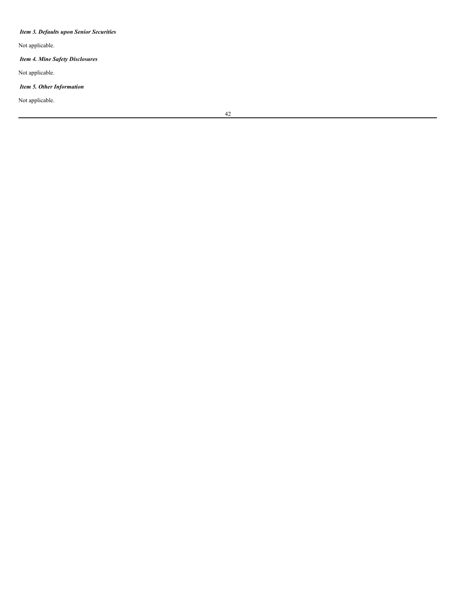# <span id="page-42-0"></span>*Item 3. Defaults upon Senior Securities*

Not applicable.

# <span id="page-42-1"></span>*Item 4. Mine Safety Disclosures*

Not applicable.

# <span id="page-42-2"></span>*Item 5. Other Information*

Not applicable.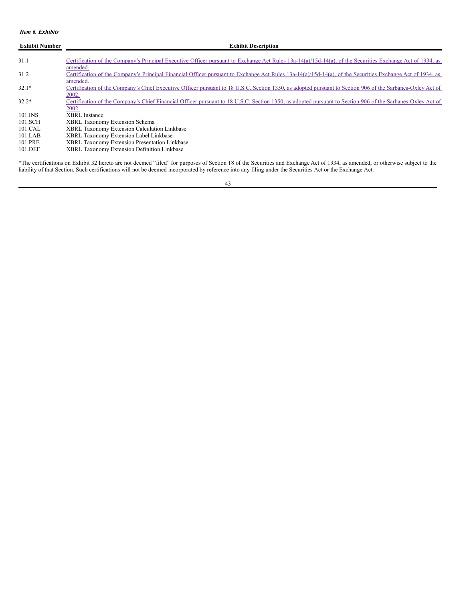## <span id="page-43-0"></span>*Item 6. Exhibits*

| <b>Exhibit Number</b> | <b>Exhibit Description</b>                                                                                                                                                      |
|-----------------------|---------------------------------------------------------------------------------------------------------------------------------------------------------------------------------|
| 31.1                  | Certification of the Company's Principal Executive Officer pursuant to Exchange Act Rules 13a-14(a)/15d-14(a), of the Securities Exchange Act of 1934, as<br>amended.           |
| 31.2                  | Certification of the Company's Principal Financial Officer pursuant to Exchange Act Rules 13a-14(a)/15d-14(a), of the Securities Exchange Act of 1934, as                       |
| $32.1*$               | amended.<br>Certification of the Company's Chief Executive Officer pursuant to 18 U.S.C. Section 1350, as adopted pursuant to Section 906 of the Sarbanes-Oxley Act of<br>2002. |
| $32.2*$               | Certification of the Company's Chief Financial Officer pursuant to 18 U.S.C. Section 1350, as adopted pursuant to Section 906 of the Sarbanes-Oxley Act of<br>2002.             |
| 101.INS               | <b>XBRL</b> Instance                                                                                                                                                            |
| 101.SCH               | <b>XBRL Taxonomy Extension Schema</b>                                                                                                                                           |
| 101.CAL               | <b>XBRL Taxonomy Extension Calculation Linkbase</b>                                                                                                                             |
| 101.LAB               | XBRL Taxonomy Extension Label Linkbase                                                                                                                                          |
| 101.PRE               | XBRL Taxonomy Extension Presentation Linkbase                                                                                                                                   |
| 101.DEF               | XBRL Taxonomy Extension Definition Linkbase                                                                                                                                     |

\*The certifications on Exhibit 32 hereto are not deemed "filed" for purposes of Section 18 of the Securities and Exchange Act of 1934, as amended, or otherwise subject to the liability of that Section. Such certifications will not be deemed incorporated by reference into any filing under the Securities Act or the Exchange Act.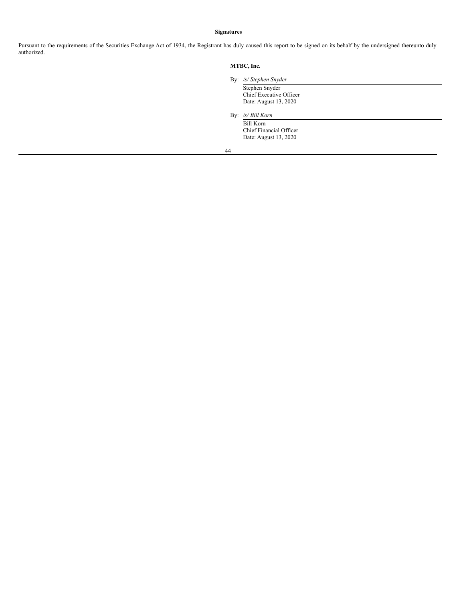## <span id="page-44-0"></span>**Signatures**

Pursuant to the requirements of the Securities Exchange Act of 1934, the Registrant has duly caused this report to be signed on its behalf by the undersigned thereunto duly authorized.

## **MTBC, Inc.**

#### By: */s/ Stephen Snyder*

Stephen Snyder Chief Executive Officer Date: August 13, 2020

# By: */s/ Bill Korn*

Bill Korn Chief Financial Officer Date: August 13, 2020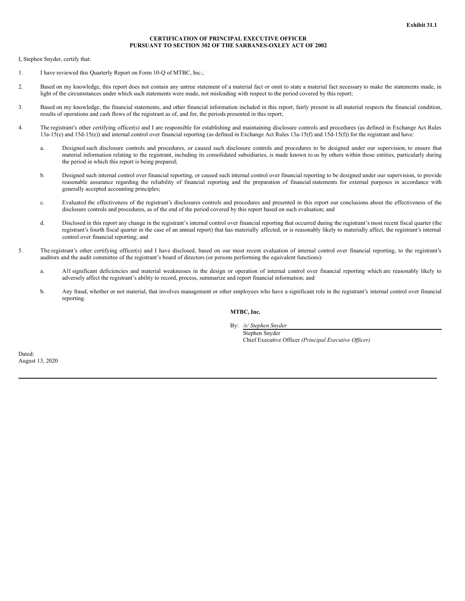## **CERTIFICATION OF PRINCIPAL EXECUTIVE OFFICER PURSUANT TO SECTION 302 OF THE SARBANES-OXLEY ACT OF 2002**

<span id="page-45-0"></span>I, Stephen Snyder, certify that:

- 1. I have reviewed this Quarterly Report on Form 10-Q of MTBC, Inc.;
- 2. Based on my knowledge, this report does not contain any untrue statement of a material fact or omit to state a material fact necessary to make the statements made, in light of the circumstances under which such statements were made, not misleading with respect to the period covered by this report;
- 3. Based on my knowledge, the financial statements, and other financial information included in this report, fairly present in all material respects the financial condition, results of operations and cash flows of the registrant as of, and for, the periods presented in this report;
- 4. The registrant's other certifying officer(s) and I are responsible for establishing and maintaining disclosure controls and procedures (as defined in Exchange Act Rules 13a-15(e) and 15d-15(e)) and internal control over financial reporting (as defined in Exchange Act Rules 13a-15(f) and 15d-15(f)) for the registrant and have:
	- a. Designed such disclosure controls and procedures, or caused such disclosure controls and procedures to be designed under our supervision, to ensure that material information relating to the registrant, including its consolidated subsidiaries, is made known to us by others within those entities, particularly during the period in which this report is being prepared;
	- b. Designed such internal control over financial reporting, or caused such internal control over financial reporting to be designed under our supervision, to provide reasonable assurance regarding the reliability of financial reporting and the preparation of financial statements for external purposes in accordance with generally accepted accounting principles;
	- c. Evaluated the effectiveness of the registrant's disclosures controls and procedures and presented in this report our conclusions about the effectiveness of the disclosure controls and procedures, as of the end of the period covered by this report based on such evaluation; and
	- d. Disclosed in this report any change in the registrant's internal control over financial reporting that occurred during the registrant's most recent fiscal quarter (the registrant's fourth fiscal quarter in the case of an annual report) that has materially affected, or is reasonably likely to materially affect, the registrant's internal control over financial reporting; and
- 5. The registrant's other certifying officer(s) and I have disclosed, based on our most recent evaluation of internal control over financial reporting, to the registrant's auditors and the audit committee of the registrant's board of directors (or persons performing the equivalent functions):
	- a. All significant deficiencies and material weaknesses in the design or operation of internal control over financial reporting which are reasonably likely to adversely affect the registrant's ability to record, process, summarize and report financial information; and
	- b. Any fraud, whether or not material, that involves management or other employees who have a significant role in the registrant's internal control over financial reporting.

**MTBC, Inc.**

By: */s/ Stephen Snyder*

Stephen Snyder Chief Executive Officer *(Principal Executive Of icer)*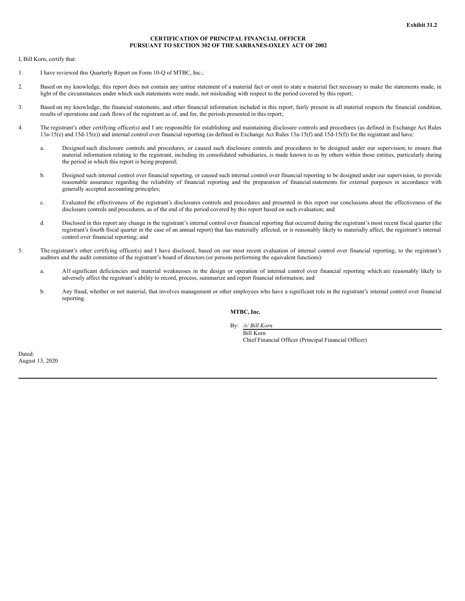## **CERTIFICATION OF PRINCIPAL FINANCIAL OFFICER PURSUANT TO SECTION 302 OF THE SARBANES-OXLEY ACT OF 2002**

<span id="page-46-0"></span>I, Bill Korn, certify that:

- 1. I have reviewed this Quarterly Report on Form 10-Q of MTBC, Inc.;
- 2. Based on my knowledge, this report does not contain any untrue statement of a material fact or omit to state a material fact necessary to make the statements made, in light of the circumstances under which such statements were made, not misleading with respect to the period covered by this report;
- 3. Based on my knowledge, the financial statements, and other financial information included in this report, fairly present in all material respects the financial condition, results of operations and cash flows of the registrant as of, and for, the periods presented in this report;
- 4. The registrant's other certifying officer(s) and I are responsible for establishing and maintaining disclosure controls and procedures (as defined in Exchange Act Rules 13a-15(e) and 15d-15(e)) and internal control over financial reporting (as defined in Exchange Act Rules 13a-15(f) and 15d-15(f)) for the registrant and have:
	- a. Designed such disclosure controls and procedures, or caused such disclosure controls and procedures to be designed under our supervision, to ensure that material information relating to the registrant, including its consolidated subsidiaries, is made known to us by others within those entities, particularly during the period in which this report is being prepared;
	- b. Designed such internal control over financial reporting, or caused such internal control over financial reporting to be designed under our supervision, to provide reasonable assurance regarding the reliability of financial reporting and the preparation of financial statements for external purposes in accordance with generally accepted accounting principles;
	- c. Evaluated the effectiveness of the registrant's disclosures controls and procedures and presented in this report our conclusions about the effectiveness of the disclosure controls and procedures, as of the end of the period covered by this report based on such evaluation; and
	- d. Disclosed in this report any change in the registrant's internal control over financial reporting that occurred during the registrant's most recent fiscal quarter (the registrant's fourth fiscal quarter in the case of an annual report) that has materially affected, or is reasonably likely to materially affect, the registrant's internal control over financial reporting; and
- 5. The registrant's other certifying officer(s) and I have disclosed, based on our most recent evaluation of internal control over financial reporting, to the registrant's auditors and the audit committee of the registrant's board of directors (or persons performing the equivalent functions):
	- a. All significant deficiencies and material weaknesses in the design or operation of internal control over financial reporting which are reasonably likely to adversely affect the registrant's ability to record, process, summarize and report financial information; and
	- b. Any fraud, whether or not material, that involves management or other employees who have a significant role in the registrant's internal control over financial reporting.

**MTBC, Inc.**

By: */s/ Bill Korn* Bill Korn

Chief Financial Officer (Principal Financial Officer)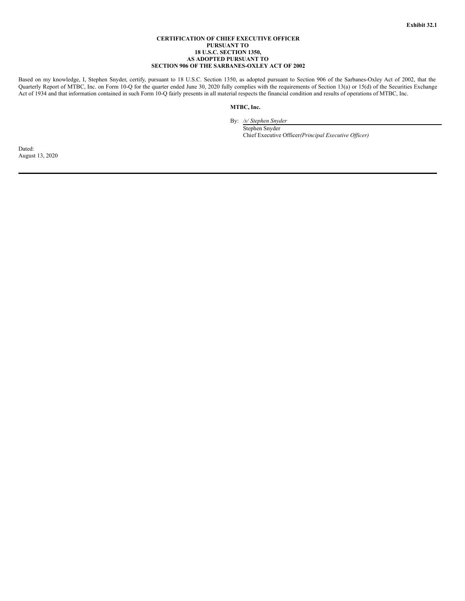## **CERTIFICATION OF CHIEF EXECUTIVE OFFICER PURSUANT TO 18 U.S.C. SECTION 1350, AS ADOPTED PURSUANT TO SECTION 906 OF THE SARBANES-OXLEY ACT OF 2002**

<span id="page-47-0"></span>Based on my knowledge, I, Stephen Snyder, certify, pursuant to 18 U.S.C. Section 1350, as adopted pursuant to Section 906 of the Sarbanes-Oxley Act of 2002, that the Quarterly Report of MTBC, Inc. on Form 10-Q for the quarter ended June 30, 2020 fully complies with the requirements of Section 13(a) or 15(d) of the Securities Exchange Act of 1934 and that information contained in such Form 10-Q fairly presents in all material respects the financial condition and results of operations of MTBC, Inc.

## **MTBC, Inc.**

By: */s/ Stephen Snyder*

Stephen Snyder Chief Executive Officer*(Principal Executive Of icer)*